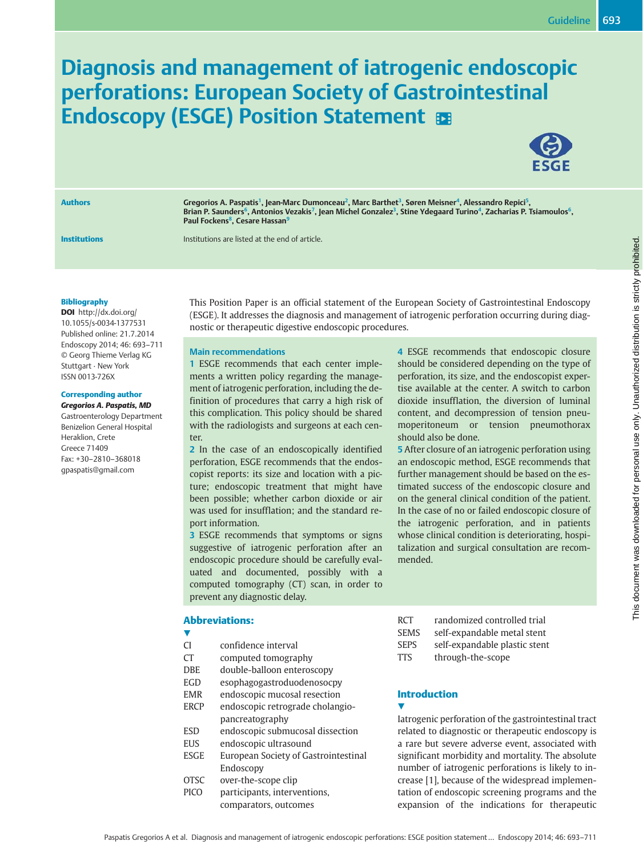# Diagnosis and management of iatrogenic endoscopic perforations: European Society of Gastrointestinal Endoscopy (ESGE) Position Statement



Authors Gregorios A. Paspatis<sup>1</sup>, Jean-Marc Dumonceau<sup>2</sup>, Marc Barthet<sup>3</sup>, Søren Meisner<sup>4</sup>, Alessandro Repici<sup>5</sup>, Brian P. Saunders<sup>6</sup>, Antonios Vezakis<sup>7</sup>, Jean Michel Gonzalez<sup>3</sup>, Stine Ydegaard Turino<sup>4</sup>, Zacharias P. Tsiamoulos<sup>6</sup>, Paul Fockens<sup>8</sup>, Cesare Hassan<sup>9</sup>

**Institutions Institutions Institutions** are listed at the end of article.

#### Bibliography

DOI http://dx.doi.org/ 10.1055/s-0034-1377531 Published online: 21.7.2014 Endoscopy 2014; 46: 693–711 © Georg Thieme Verlag KG Stuttgart · New York ISSN 0013-726X

#### Corresponding author

Gastroenterology Department Benizelion General Hospital Heraklion, Crete Greece 71409 Fax: +30–2810–368018 gpaspatis@gmail.com

This Position Paper is an official statement of the European Society of Gastrointestinal Endoscopy (ESGE). It addresses the diagnosis and management of iatrogenic perforation occurring during diagnostic or therapeutic digestive endoscopic procedures.

#### Main recommendations

1 ESGE recommends that each center implements a written policy regarding the management of iatrogenic perforation, including the definition of procedures that carry a high risk of this complication. This policy should be shared with the radiologists and surgeons at each center.

2 In the case of an endoscopically identified perforation, ESGE recommends that the endoscopist reports: its size and location with a picture; endoscopic treatment that might have been possible; whether carbon dioxide or air was used for insufflation; and the standard report information.

3 ESGE recommends that symptoms or signs suggestive of iatrogenic perforation after an endoscopic procedure should be carefully evaluated and documented, possibly with a computed tomography (CT) scan, in order to prevent any diagnostic delay.

# 4 ESGE recommends that endoscopic closure should be considered depending on the type of perforation, its size, and the endoscopist expertise available at the center. A switch to carbon dioxide insufflation, the diversion of luminal content, and decompression of tension pneumoperitoneum or tension pneumothorax should also be done.

5 After closure of an iatrogenic perforation using an endoscopic method, ESGE recommends that further management should be based on the estimated success of the endoscopic closure and on the general clinical condition of the patient. In the case of no or failed endoscopic closure of the iatrogenic perforation, and in patients whose clinical condition is deteriorating, hospitalization and surgical consultation are recommended.

| <b>Abbreviations:</b> |  |
|-----------------------|--|
|                       |  |

- v
- CI confidence interval
- CT computed tomography
- DBE double-balloon enteroscopy
- EGD esophagogastroduodenosocpy
- EMR endoscopic mucosal resection
- ERCP endoscopic retrograde cholangiopancreatography
- ESD endoscopic submucosal dissection
- EUS endoscopic ultrasound
- ESGE European Society of Gastrointestinal Endoscopy
- OTSC over-the-scope clip
- PICO participants, interventions, comparators, outcomes

RCT randomized controlled trial SEMS self-expandable metal stent SEPS self-expandable plastic stent TTS through-the-scope

# Introduction

#### <u>V</u>

Iatrogenic perforation of the gastrointestinal tract related to diagnostic or therapeutic endoscopy is a rare but severe adverse event, associated with significant morbidity and mortality. The absolute number of iatrogenic perforations is likely to increase [1], because of the widespread implementation of endoscopic screening programs and the expansion of the indications for therapeutic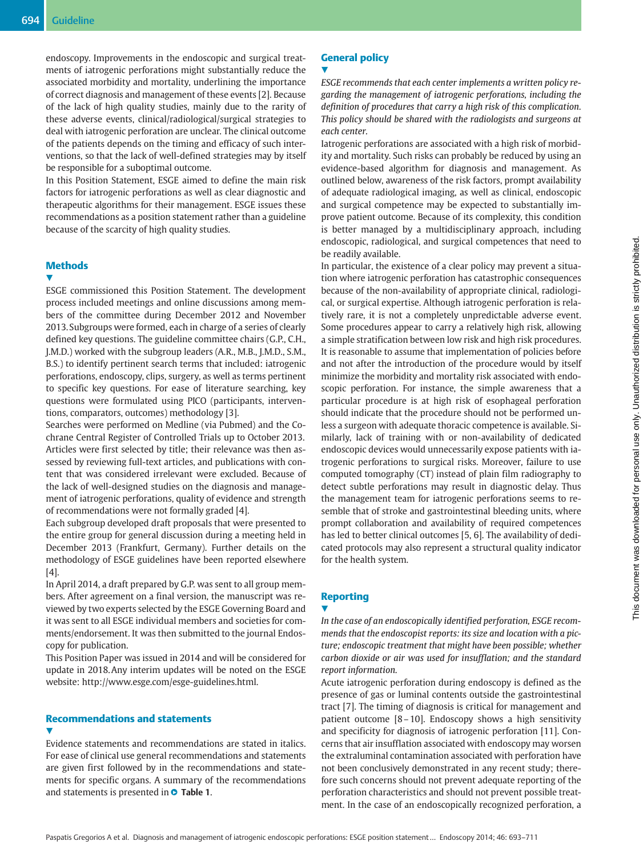endoscopy. Improvements in the endoscopic and surgical treatments of iatrogenic perforations might substantially reduce the associated morbidity and mortality, underlining the importance of correct diagnosis and management of these events [2]. Because of the lack of high quality studies, mainly due to the rarity of these adverse events, clinical/radiological/surgical strategies to deal with iatrogenic perforation are unclear. The clinical outcome of the patients depends on the timing and efficacy of such interventions, so that the lack of well-defined strategies may by itself be responsible for a suboptimal outcome.

In this Position Statement, ESGE aimed to define the main risk factors for iatrogenic perforations as well as clear diagnostic and therapeutic algorithms for their management. ESGE issues these recommendations as a position statement rather than a guideline because of the scarcity of high quality studies.

# **Methods**

#### v,

ESGE commissioned this Position Statement. The development process included meetings and online discussions among members of the committee during December 2012 and November 2013. Subgroups were formed, each in charge of a series of clearly defined key questions. The guideline committee chairs (G.P., C.H., J.M.D.) worked with the subgroup leaders (A.R., M.B., J.M.D., S.M., B.S.) to identify pertinent search terms that included: iatrogenic perforations, endoscopy, clips, surgery, as well as terms pertinent to specific key questions. For ease of literature searching, key questions were formulated using PICO (participants, interventions, comparators, outcomes) methodology [3].

Searches were performed on Medline (via Pubmed) and the Cochrane Central Register of Controlled Trials up to October 2013. Articles were first selected by title; their relevance was then assessed by reviewing full-text articles, and publications with content that was considered irrelevant were excluded. Because of the lack of well-designed studies on the diagnosis and management of iatrogenic perforations, quality of evidence and strength of recommendations were not formally graded [4].

Each subgroup developed draft proposals that were presented to the entire group for general discussion during a meeting held in December 2013 (Frankfurt, Germany). Further details on the methodology of ESGE guidelines have been reported elsewhere [4].

In April 2014, a draft prepared by G.P. was sent to all group members. After agreement on a final version, the manuscript was reviewed by two experts selected by the ESGE Governing Board and it was sent to all ESGE individual members and societies for comments/endorsement. It was then submitted to the journal Endoscopy for publication.

This Position Paper was issued in 2014 and will be considered for update in 2018. Any interim updates will be noted on the ESGE website: http://www.esge.com/esge-guidelines.html.

#### Recommendations and statements  $\blacktriangledown$

Evidence statements and recommendations are stated in italics. For ease of clinical use general recommendations and statements are given first followed by in the recommendations and statements for specific organs. A summary of the recommendations and statements is presented in  $\bullet$  Table 1.

#### General policy **V**

ESGE recommends that each center implements a written policy regarding the management of iatrogenic perforations, including the definition of procedures that carry a high risk of this complication. This policy should be shared with the radiologists and surgeons at each center.

Iatrogenic perforations are associated with a high risk of morbidity and mortality. Such risks can probably be reduced by using an evidence-based algorithm for diagnosis and management. As outlined below, awareness of the risk factors, prompt availability of adequate radiological imaging, as well as clinical, endoscopic and surgical competence may be expected to substantially improve patient outcome. Because of its complexity, this condition is better managed by a multidisciplinary approach, including endoscopic, radiological, and surgical competences that need to be readily available.

In particular, the existence of a clear policy may prevent a situation where iatrogenic perforation has catastrophic consequences because of the non-availability of appropriate clinical, radiological, or surgical expertise. Although iatrogenic perforation is relatively rare, it is not a completely unpredictable adverse event. Some procedures appear to carry a relatively high risk, allowing a simple stratification between low risk and high risk procedures. It is reasonable to assume that implementation of policies before and not after the introduction of the procedure would by itself minimize the morbidity and mortality risk associated with endoscopic perforation. For instance, the simple awareness that a particular procedure is at high risk of esophageal perforation should indicate that the procedure should not be performed unless a surgeon with adequate thoracic competence is available. Similarly, lack of training with or non-availability of dedicated endoscopic devices would unnecessarily expose patients with iatrogenic perforations to surgical risks. Moreover, failure to use computed tomography (CT) instead of plain film radiography to detect subtle perforations may result in diagnostic delay. Thus the management team for iatrogenic perforations seems to resemble that of stroke and gastrointestinal bleeding units, where prompt collaboration and availability of required competences has led to better clinical outcomes [5, 6]. The availability of dedicated protocols may also represent a structural quality indicator for the health system.

# Reporting

**V** 

In the case of an endoscopically identified perforation, ESGE recommends that the endoscopist reports: its size and location with a picture; endoscopic treatment that might have been possible; whether carbon dioxide or air was used for insufflation; and the standard report information.

Acute iatrogenic perforation during endoscopy is defined as the presence of gas or luminal contents outside the gastrointestinal tract [7]. The timing of diagnosis is critical for management and patient outcome [8–10]. Endoscopy shows a high sensitivity and specificity for diagnosis of iatrogenic perforation [11]. Concerns that air insufflation associated with endoscopy may worsen the extraluminal contamination associated with perforation have not been conclusively demonstrated in any recent study; therefore such concerns should not prevent adequate reporting of the perforation characteristics and should not prevent possible treatment. In the case of an endoscopically recognized perforation, a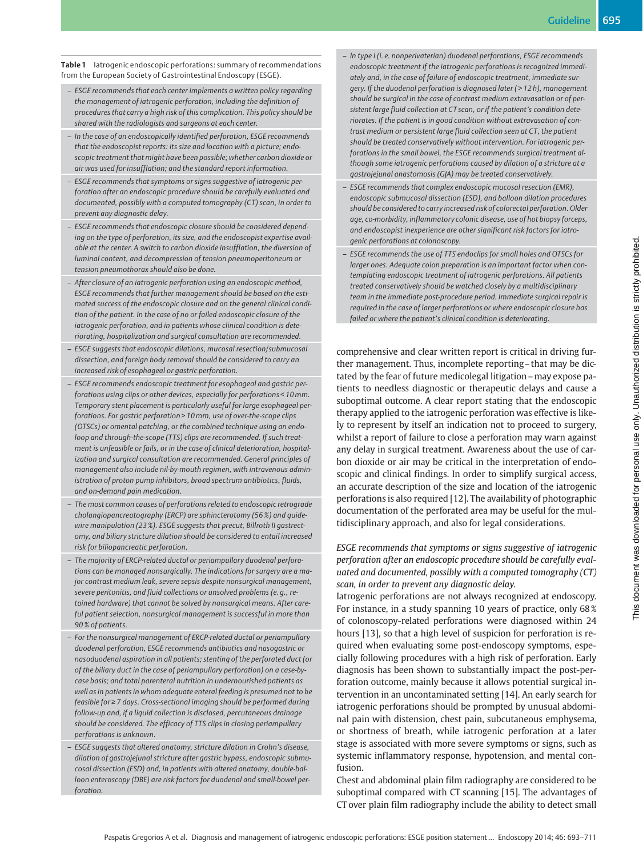Table 1 Iatrogenic endoscopic perforations: summary of recommendations from the European Society of Gastrointestinal Endoscopy (ESGE).

- ESGE recommends that each center implements a written policy regarding the management of iatrogenic perforation, including the definition of procedures that carry a high risk of this complication. This policy should be shared with the radiologists and surgeons at each center.
- In the case of an endoscopically identified perforation, ESGE recommends that the endoscopist reports: its size and location with a picture; endoscopic treatment that might have been possible; whether carbon dioxide or air was used for insufflation; and the standard report information.
- ESGE recommends that symptoms or signs suggestive of iatrogenic perforation after an endoscopic procedure should be carefully evaluated and documented, possibly with a computed tomography (CT) scan, in order to prevent any diagnostic delay.
- ESGE recommends that endoscopic closure should be considered depending on the type of perforation, its size, and the endoscopist expertise available at the center. A switch to carbon dioxide insufflation, the diversion of luminal content, and decompression of tension pneumoperitoneum or tension pneumothorax should also be done.
- After closure of an iatrogenic perforation using an endoscopic method, ESGE recommends that further management should be based on the estimated success of the endoscopic closure and on the general clinical condition of the patient. In the case of no or failed endoscopic closure of the iatrogenic perforation, and in patients whose clinical condition is deteriorating, hospitalization and surgical consultation are recommended.
- ESGE suggests that endoscopic dilations, mucosal resection/submucosal dissection, and foreign body removal should be considered to carry an increased risk of esophageal or gastric perforation.
- ESGE recommends endoscopic treatment for esophageal and gastric perforations using clips or other devices, especially for perforations < 10 mm. Temporary stent placement is particularly useful for large esophageal perforations. For gastric perforation > 10 mm, use of over-the-scope clips (OTSCs) or omental patching, or the combined technique using an endoloop and through-the-scope (TTS) clips are recommended. If such treatment is unfeasible or fails, or in the case of clinical deterioration, hospitalization and surgical consultation are recommended. General principles of management also include nil-by-mouth regimen, with intravenous administration of proton pump inhibitors, broad spectrum antibiotics, fluids, and on-demand pain medication.
- The most common causes of perforations related to endoscopic retrograde cholangiopancreatography (ERCP) are sphincterotomy (56 %) and guidewire manipulation (23 %). ESGE suggests that precut, Billroth II gastrectomy, and biliary stricture dilation should be considered to entail increased risk for biliopancreatic perforation.
- The majority of ERCP-related ductal or periampullary duodenal perforations can be managed nonsurgically. The indications for surgery are a major contrast medium leak, severe sepsis despite nonsurgical management, severe peritonitis, and fluid collections or unsolved problems (e. g., retained hardware) that cannot be solved by nonsurgical means. After careful patient selection, nonsurgical management is successful in more than 90 % of patients.
- For the nonsurgical management of ERCP-related ductal or periampullary duodenal perforation, ESGE recommends antibiotics and nasogastric or nasoduodenal aspiration in all patients; stenting of the perforated duct (or of the biliary duct in the case of periampullary perforation) on a case-bycase basis; and total parenteral nutrition in undernourished patients as well as in patients in whom adequate enteral feeding is presumed not to be feasible for ≥ 7 days. Cross-sectional imaging should be performed during follow-up and, if a liquid collection is disclosed, percutaneous drainage should be considered. The efficacy of TTS clips in closing periampullary perforations is unknown.
- ESGE suggests that altered anatomy, stricture dilation in Crohn's disease, dilation of gastrojejunal stricture after gastric bypass, endoscopic submucosal dissection (ESD) and, in patients with altered anatomy, double-balloon enteroscopy (DBE) are risk factors for duodenal and small-bowel perforation.
- In type I (i. e. nonperivaterian) duodenal perforations, ESGE recommends endoscopic treatment if the iatrogenic perforations is recognized immediately and, in the case of failure of endoscopic treatment, immediate surgery. If the duodenal perforation is diagnosed later ( > 12 h), management should be surgical in the case of contrast medium extravasation or of persistent large fluid collection at CT scan, or if the patient's condition deteriorates. If the patient is in good condition without extravasation of contrast medium or persistent large fluid collection seen at CT, the patient should be treated conservatively without intervention. For iatrogenic perforations in the small bowel, the ESGE recommends surgical treatment although some iatrogenic perforations caused by dilation of a stricture at a gastrojejunal anastomosis (GJA) may be treated conservatively.
- ESGE recommends that complex endoscopic mucosal resection (EMR), endoscopic submucosal dissection (ESD), and balloon dilation procedures should be considered to carry increased risk of colorectal perforation. Older age, co-morbidity, inflammatory colonic disease, use of hot biopsy forceps, and endoscopist inexperience are other significant risk factors for iatrogenic perforations at colonoscopy.
- ESGE recommends the use of TTS endoclips for small holes and OTSCs for larger ones. Adequate colon preparation is an important factor when contemplating endoscopic treatment of iatrogenic perforations. All patients treated conservatively should be watched closely by a multidisciplinary team in the immediate post-procedure period. Immediate surgical repair is required in the case of larger perforations or where endoscopic closure has failed or where the patient's clinical condition is deteriorating.

comprehensive and clear written report is critical in driving further management. Thus, incomplete reporting–that may be dictated by the fear of future medicolegal litigation–may expose patients to needless diagnostic or therapeutic delays and cause a suboptimal outcome. A clear report stating that the endoscopic therapy applied to the iatrogenic perforation was effective is likely to represent by itself an indication not to proceed to surgery, whilst a report of failure to close a perforation may warn against any delay in surgical treatment. Awareness about the use of carbon dioxide or air may be critical in the interpretation of endoscopic and clinical findings. In order to simplify surgical access, an accurate description of the size and location of the iatrogenic perforations is also required [12]. The availability of photographic documentation of the perforated area may be useful for the multidisciplinary approach, and also for legal considerations.

ESGE recommends that symptoms or signs suggestive of iatrogenic perforation after an endoscopic procedure should be carefully evaluated and documented, possibly with a computed tomography (CT) scan, in order to prevent any diagnostic delay.

Iatrogenic perforations are not always recognized at endoscopy. For instance, in a study spanning 10 years of practice, only 68 % of colonoscopy-related perforations were diagnosed within 24 hours [13], so that a high level of suspicion for perforation is required when evaluating some post-endoscopy symptoms, especially following procedures with a high risk of perforation. Early diagnosis has been shown to substantially impact the post-perforation outcome, mainly because it allows potential surgical intervention in an uncontaminated setting [14]. An early search for iatrogenic perforations should be prompted by unusual abdominal pain with distension, chest pain, subcutaneous emphysema, or shortness of breath, while iatrogenic perforation at a later stage is associated with more severe symptoms or signs, such as systemic inflammatory response, hypotension, and mental confusion.

Chest and abdominal plain film radiography are considered to be suboptimal compared with CT scanning [15]. The advantages of CT over plain film radiography include the ability to detect small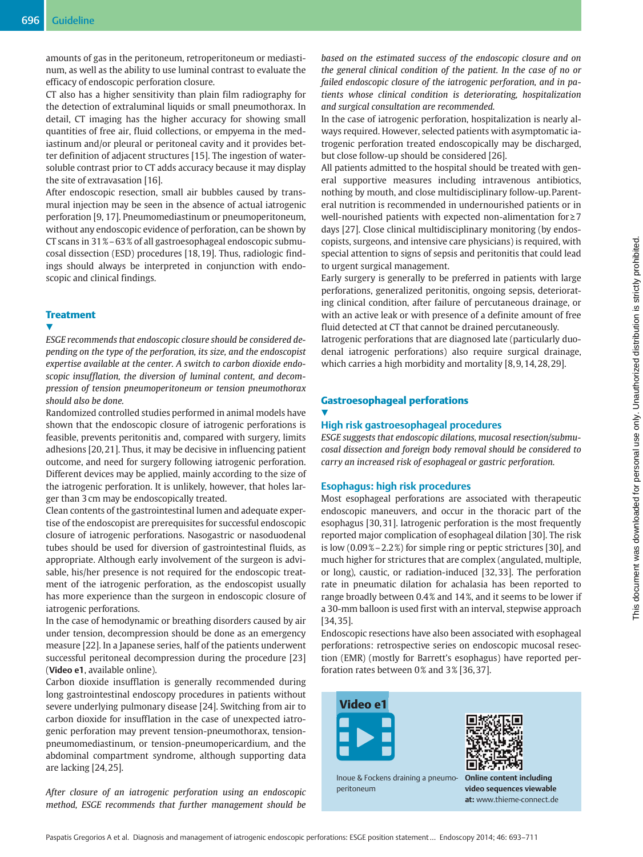amounts of gas in the peritoneum, retroperitoneum or mediastinum, as well as the ability to use luminal contrast to evaluate the efficacy of endoscopic perforation closure.

CT also has a higher sensitivity than plain film radiography for the detection of extraluminal liquids or small pneumothorax. In detail, CT imaging has the higher accuracy for showing small quantities of free air, fluid collections, or empyema in the mediastinum and/or pleural or peritoneal cavity and it provides better definition of adjacent structures [15]. The ingestion of watersoluble contrast prior to CT adds accuracy because it may display the site of extravasation [16].

After endoscopic resection, small air bubbles caused by transmural injection may be seen in the absence of actual iatrogenic perforation [9, 17]. Pneumomediastinum or pneumoperitoneum, without any endoscopic evidence of perforation, can be shown by CT scans in 31 %–63 % of all gastroesophageal endoscopic submucosal dissection (ESD) procedures [18, 19]. Thus, radiologic findings should always be interpreted in conjunction with endoscopic and clinical findings.

# **Treatment**

v,

ESGE recommends that endoscopic closure should be considered depending on the type of the perforation, its size, and the endoscopist expertise available at the center. A switch to carbon dioxide endoscopic insufflation, the diversion of luminal content, and decompression of tension pneumoperitoneum or tension pneumothorax should also be done.

Randomized controlled studies performed in animal models have shown that the endoscopic closure of iatrogenic perforations is feasible, prevents peritonitis and, compared with surgery, limits adhesions [20, 21]. Thus, it may be decisive in influencing patient outcome, and need for surgery following iatrogenic perforation. Different devices may be applied, mainly according to the size of the iatrogenic perforation. It is unlikely, however, that holes larger than 3 cm may be endoscopically treated.

Clean contents of the gastrointestinal lumen and adequate expertise of the endoscopist are prerequisites for successful endoscopic closure of iatrogenic perforations. Nasogastric or nasoduodenal tubes should be used for diversion of gastrointestinal fluids, as appropriate. Although early involvement of the surgeon is advisable, his/her presence is not required for the endoscopic treatment of the iatrogenic perforation, as the endoscopist usually has more experience than the surgeon in endoscopic closure of iatrogenic perforations.

In the case of hemodynamic or breathing disorders caused by air under tension, decompression should be done as an emergency measure [22]. In a Japanese series, half of the patients underwent successful peritoneal decompression during the procedure [23] (Video e1, available online).

Carbon dioxide insufflation is generally recommended during long gastrointestinal endoscopy procedures in patients without severe underlying pulmonary disease [24]. Switching from air to carbon dioxide for insufflation in the case of unexpected iatrogenic perforation may prevent tension-pneumothorax, tensionpneumomediastinum, or tension-pneumopericardium, and the abdominal compartment syndrome, although supporting data are lacking [24, 25].

After closure of an iatrogenic perforation using an endoscopic method, ESGE recommends that further management should be

based on the estimated success of the endoscopic closure and on the general clinical condition of the patient. In the case of no or failed endoscopic closure of the iatrogenic perforation, and in patients whose clinical condition is deteriorating, hospitalization and surgical consultation are recommended.

In the case of iatrogenic perforation, hospitalization is nearly always required. However, selected patients with asymptomatic iatrogenic perforation treated endoscopically may be discharged, but close follow-up should be considered [26].

All patients admitted to the hospital should be treated with general supportive measures including intravenous antibiotics, nothing by mouth, and close multidisciplinary follow-up. Parenteral nutrition is recommended in undernourished patients or in well-nourished patients with expected non-alimentation for≥7 days [27]. Close clinical multidisciplinary monitoring (by endoscopists, surgeons, and intensive care physicians) is required, with special attention to signs of sepsis and peritonitis that could lead to urgent surgical management.

Early surgery is generally to be preferred in patients with large perforations, generalized peritonitis, ongoing sepsis, deteriorating clinical condition, after failure of percutaneous drainage, or with an active leak or with presence of a definite amount of free fluid detected at CT that cannot be drained percutaneously.

Iatrogenic perforations that are diagnosed late (particularly duodenal iatrogenic perforations) also require surgical drainage, which carries a high morbidity and mortality [8, 9, 14, 28, 29].

# Gastroesophageal perforations  $\blacktriangledown$

#### High risk gastroesophageal procedures

ESGE suggests that endoscopic dilations, mucosal resection/submucosal dissection and foreign body removal should be considered to carry an increased risk of esophageal or gastric perforation.

### Esophagus: high risk procedures

Most esophageal perforations are associated with therapeutic endoscopic maneuvers, and occur in the thoracic part of the esophagus [30, 31]. Iatrogenic perforation is the most frequently reported major complication of esophageal dilation [30]. The risk is low (0.09 %–2.2 %) for simple ring or peptic strictures [30], and much higher for strictures that are complex (angulated, multiple, or long), caustic, or radiation-induced [32, 33]. The perforation rate in pneumatic dilation for achalasia has been reported to range broadly between 0.4 % and 14 %, and it seems to be lower if a 30-mm balloon is used first with an interval, stepwise approach [34, 35].

Endoscopic resections have also been associated with esophageal perforations: retrospective series on endoscopic mucosal resection (EMR) (mostly for Barrett's esophagus) have reported perforation rates between  $0\%$  and  $3\%$  [36,37].



Inoue & Fockens draining a pneumoperitoneum



Online content including video sequences viewable at: www.thieme-connect.de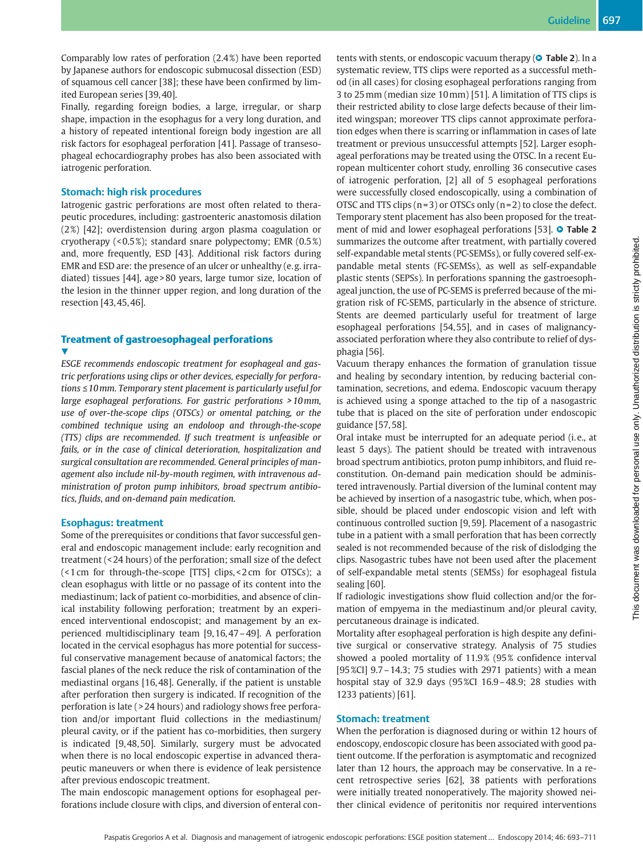Comparably low rates of perforation (2.4 %) have been reported by Japanese authors for endoscopic submucosal dissection (ESD) of squamous cell cancer [38]; these have been confirmed by limited European series [39, 40].

Finally, regarding foreign bodies, a large, irregular, or sharp shape, impaction in the esophagus for a very long duration, and a history of repeated intentional foreign body ingestion are all risk factors for esophageal perforation [41]. Passage of transesophageal echocardiography probes has also been associated with iatrogenic perforation.

# Stomach: high risk procedures

Iatrogenic gastric perforations are most often related to therapeutic procedures, including: gastroenteric anastomosis dilation (2 %) [42]; overdistension during argon plasma coagulation or cryotherapy (< 0.5 %); standard snare polypectomy; EMR (0.5 %) and, more frequently, ESD [43]. Additional risk factors during EMR and ESD are: the presence of an ulcer or unhealthy (e. g. irradiated) tissues [44], age > 80 years, large tumor size, location of the lesion in the thinner upper region, and long duration of the resection [43, 45, 46].

# Treatment of gastroesophageal perforations V,

ESGE recommends endoscopic treatment for esophageal and gastric perforations using clips or other devices, especially for perforations ≤10mm. Temporary stent placement is particularly useful for large esophageal perforations. For gastric perforations > 10mm, use of over-the-scope clips (OTSCs) or omental patching, or the combined technique using an endoloop and through-the-scope (TTS) clips are recommended. If such treatment is unfeasible or fails, or in the case of clinical deterioration, hospitalization and surgical consultation are recommended. General principles of management also include nil-by-mouth regimen, with intravenous administration of proton pump inhibitors, broad spectrum antibiotics, fluids, and on-demand pain medication.

# Esophagus: treatment

Some of the prerequisites or conditions that favor successful general and endoscopic management include: early recognition and treatment (< 24 hours) of the perforation; small size of the defect (< 1 cm for through-the-scope [TTS] clips, < 2 cm for OTSCs); a clean esophagus with little or no passage of its content into the mediastinum; lack of patient co-morbidities, and absence of clinical instability following perforation; treatment by an experienced interventional endoscopist; and management by an experienced multidisciplinary team [9, 16, 47–49]. A perforation located in the cervical esophagus has more potential for successful conservative management because of anatomical factors; the fascial planes of the neck reduce the risk of contamination of the mediastinal organs [16, 48]. Generally, if the patient is unstable after perforation then surgery is indicated. If recognition of the perforation is late ( > 24 hours) and radiology shows free perforation and/or important fluid collections in the mediastinum/ pleural cavity, or if the patient has co-morbidities, then surgery is indicated [9, 48, 50]. Similarly, surgery must be advocated when there is no local endoscopic expertise in advanced therapeutic maneuvers or when there is evidence of leak persistence after previous endoscopic treatment.

The main endoscopic management options for esophageal perforations include closure with clips, and diversion of enteral contents with stents, or endoscopic vacuum therapy ( $\bullet$  Table 2). In a systematic review, TTS clips were reported as a successful method (in all cases) for closing esophageal perforations ranging from 3 to 25mm (median size 10mm) [51]. A limitation of TTS clips is their restricted ability to close large defects because of their limited wingspan; moreover TTS clips cannot approximate perforation edges when there is scarring or inflammation in cases of late treatment or previous unsuccessful attempts [52]. Larger esophageal perforations may be treated using the OTSC. In a recent European multicenter cohort study, enrolling 36 consecutive cases of iatrogenic perforation, [2] all of 5 esophageal perforations were successfully closed endoscopically, using a combination of OTSC and TTS clips  $(n=3)$  or OTSCs only  $(n=2)$  to close the defect. Temporary stent placement has also been proposed for the treatment of mid and lower esophageal perforations [53]. **O Table 2** summarizes the outcome after treatment, with partially covered self-expandable metal stents (PC-SEMSs), or fully covered self-expandable metal stents (FC-SEMSs), as well as self-expandable plastic stents (SEPSs). In perforations spanning the gastroesophageal junction, the use of PC-SEMS is preferred because of the migration risk of FC-SEMS, particularly in the absence of stricture. Stents are deemed particularly useful for treatment of large esophageal perforations [54, 55], and in cases of malignancyassociated perforation where they also contribute to relief of dysphagia [56].

Vacuum therapy enhances the formation of granulation tissue and healing by secondary intention, by reducing bacterial contamination, secretions, and edema. Endoscopic vacuum therapy is achieved using a sponge attached to the tip of a nasogastric tube that is placed on the site of perforation under endoscopic guidance [57, 58].

Oral intake must be interrupted for an adequate period (i. e., at least 5 days). The patient should be treated with intravenous broad spectrum antibiotics, proton pump inhibitors, and fluid reconstitution. On-demand pain medication should be administered intravenously. Partial diversion of the luminal content may be achieved by insertion of a nasogastric tube, which, when possible, should be placed under endoscopic vision and left with continuous controlled suction [9, 59]. Placement of a nasogastric tube in a patient with a small perforation that has been correctly sealed is not recommended because of the risk of dislodging the clips. Nasogastric tubes have not been used after the placement of self-expandable metal stents (SEMSs) for esophageal fistula sealing [60].

If radiologic investigations show fluid collection and/or the formation of empyema in the mediastinum and/or pleural cavity, percutaneous drainage is indicated.

Mortality after esophageal perforation is high despite any definitive surgical or conservative strategy. Analysis of 75 studies showed a pooled mortality of 11.9% (95% confidence interval [ $95\%$ CI]  $9.7$ –14.3; 75 studies with 2971 patients) with a mean hospital stay of 32.9 days (95 %CI 16.9–48.9; 28 studies with 1233 patients) [61].

# Stomach: treatment

When the perforation is diagnosed during or within 12 hours of endoscopy, endoscopic closure has been associated with good patient outcome. If the perforation is asymptomatic and recognized later than 12 hours, the approach may be conservative. In a recent retrospective series [62], 38 patients with perforations were initially treated nonoperatively. The majority showed neither clinical evidence of peritonitis nor required interventions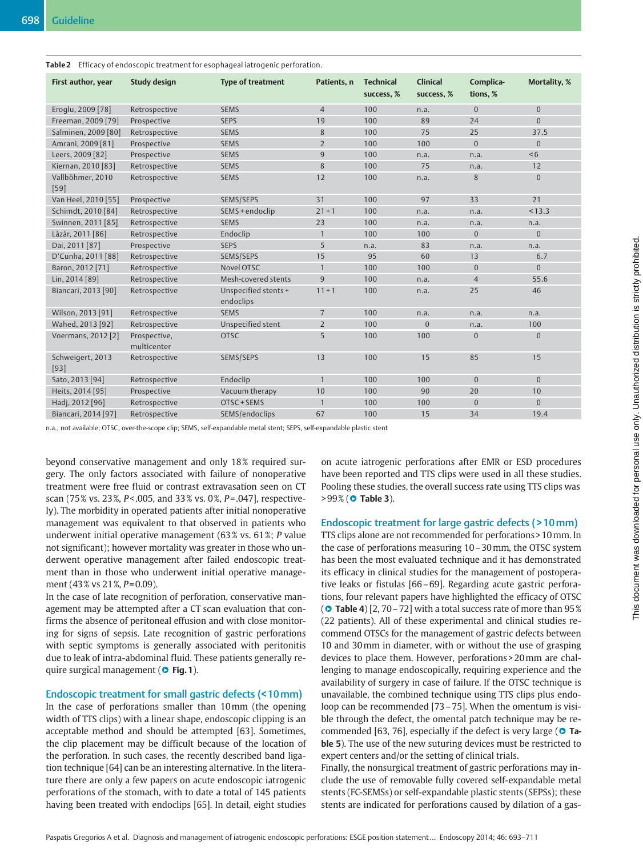| First author, year         | <b>Study design</b>         | <b>Type of treatment</b>          | Patients, n    | <b>Technical</b><br>success, % | <b>Clinical</b><br>success, % | Complica-<br>tions, % | Mortality, %   |
|----------------------------|-----------------------------|-----------------------------------|----------------|--------------------------------|-------------------------------|-----------------------|----------------|
| Eroglu, 2009 [78]          | Retrospective               | <b>SEMS</b>                       | $\overline{4}$ | 100                            | n.a.                          | $\mathbf{0}$          | $\overline{0}$ |
| Freeman, 2009 [79]         | Prospective                 | <b>SEPS</b>                       | 19             | 100                            | 89                            | 24                    | $\Omega$       |
| Salminen, 2009 [80]        | Retrospective               | <b>SEMS</b>                       | 8              | 100                            | 75                            | 25                    | 37.5           |
| Amrani, 2009 [81]          | Prospective                 | <b>SEMS</b>                       | $\overline{2}$ | 100                            | 100                           | $\mathbf{0}$          | $\mathbf{0}$   |
| Leers, 2009 [82]           | Prospective                 | <b>SEMS</b>                       | 9              | 100                            | n.a.                          | n.a.                  | < 6            |
| Kiernan, 2010 [83]         | Retrospective               | <b>SEMS</b>                       | 8              | 100                            | 75                            | n.a.                  | 12             |
| Vallböhmer, 2010<br>$[59]$ | Retrospective               | <b>SEMS</b>                       | 12             | 100                            | n.a.                          | 8                     | $\mathbf{0}$   |
| Van Heel, 2010 [55]        | Prospective                 | SEMS/SEPS                         | 31             | 100                            | 97                            | 33                    | 21             |
| Schimdt, 2010 [84]         | Retrospective               | SEMS + endoclip                   | $21 + 1$       | 100                            | n.a.                          | n.a.                  | < 13.3         |
| Swinnen, 2011 [85]         | Retrospective               | <b>SEMS</b>                       | 23             | 100                            | n.a.                          | n.a.                  | n.a.           |
| Làzàr, 2011 [86]           | Retrospective               | Endoclip                          | $\mathbf{1}$   | 100                            | 100                           | $\bf{0}$              | $\mathbf{0}$   |
| Dai, 2011 [87]             | Prospective                 | <b>SEPS</b>                       | 5              | n.a.                           | 83                            | n.a.                  | n.a.           |
| D'Cunha, 2011 [88]         | Retrospective               | SEMS/SEPS                         | 15             | 95                             | 60                            | 13                    | 6.7            |
| Baron, 2012 [71]           | Retrospective               | Novel OTSC                        | $\mathbf{1}$   | 100                            | 100                           | $\mathbf 0$           | $\overline{0}$ |
| Lin, 2014 [89]             | Retrospective               | Mesh-covered stents               | 9              | 100                            | n.a.                          | $\overline{4}$        | 55.6           |
| Biancari, 2013 [90]        | Retrospective               | Unspecified stents +<br>endoclips | $11 + 1$       | 100                            | n.a.                          | 25                    | 46             |
| Wilson, 2013 [91]          | Retrospective               | <b>SEMS</b>                       | $\overline{7}$ | 100                            | n.a.                          | n.a.                  | n.a.           |
| Wahed, 2013 [92]           | Retrospective               | Unspecified stent                 | $\overline{2}$ | 100                            | $\boldsymbol{0}$              | n.a.                  | 100            |
| Voermans, 2012 [2]         | Prospective,<br>multicenter | <b>OTSC</b>                       | 5              | 100                            | 100                           | $\overline{0}$        | $\mathbf{0}$   |
| Schweigert, 2013<br>$[93]$ | Retrospective               | SEMS/SEPS                         | 13             | 100                            | 15                            | 85                    | 15             |
| Sato, 2013 [94]            | Retrospective               | Endoclip                          | $\mathbf{1}$   | 100                            | 100                           | $\mathbf{0}$          | $\overline{0}$ |
| Heits, 2014 [95]           | Prospective                 | Vacuum therapy                    | 10             | 100                            | 90                            | 20                    | 10             |
| Hadj, 2012 [96]            | Retrospective               | OTSC + SEMS                       | $\mathbf{1}$   | 100                            | 100                           | $\mathbf{0}$          | $\mathbf{0}$   |
| Biancari, 2014 [97]        | Retrospective               | SEMS/endoclips                    | 67             | 100                            | 15                            | 34                    | 19.4           |

Table 2 Efficacy of endoscopic treatment for esophageal iatrogenic perforation.

n.a., not available; OTSC, over-the-scope clip; SEMS, self-expandable metal stent; SEPS, self-expandable plastic stent

beyond conservative management and only 18 % required surgery. The only factors associated with failure of nonoperative treatment were free fluid or contrast extravasation seen on CT scan (75 % vs. 23 %, P< .005, and 33 % vs. 0 %, P= .047], respectively). The morbidity in operated patients after initial nonoperative management was equivalent to that observed in patients who underwent initial operative management (63 % vs. 61 %; P value not significant); however mortality was greater in those who underwent operative management after failed endoscopic treatment than in those who underwent initial operative management (43% vs 21%, P=0.09).

In the case of late recognition of perforation, conservative management may be attempted after a CT scan evaluation that confirms the absence of peritoneal effusion and with close monitoring for signs of sepsis. Late recognition of gastric perforations with septic symptoms is generally associated with peritonitis due to leak of intra-abdominal fluid. These patients generally require surgical management ( $\bullet$  Fig. 1).

#### Endoscopic treatment for small gastric defects (< 10mm)

In the case of perforations smaller than 10mm (the opening width of TTS clips) with a linear shape, endoscopic clipping is an acceptable method and should be attempted [63]. Sometimes, the clip placement may be difficult because of the location of the perforation. In such cases, the recently described band ligation technique [64] can be an interesting alternative. In the literature there are only a few papers on acute endoscopic iatrogenic perforations of the stomach, with to date a total of 145 patients having been treated with endoclips [65]. In detail, eight studies

on acute iatrogenic perforations after EMR or ESD procedures have been reported and TTS clips were used in all these studies. Pooling these studies, the overall success rate using TTS clips was  $> 99\%$  (O Table 3).

### Endoscopic treatment for large gastric defects ( > 10mm)

TTS clips alone are not recommended for perforations > 10mm. In the case of perforations measuring 10–30mm, the OTSC system has been the most evaluated technique and it has demonstrated its efficacy in clinical studies for the management of postoperative leaks or fistulas [66–69]. Regarding acute gastric perforations, four relevant papers have highlighted the efficacy of OTSC ( $\bullet$  Table 4) [2, 70 – 72] with a total success rate of more than 95% (22 patients). All of these experimental and clinical studies recommend OTSCs for the management of gastric defects between 10 and 30mm in diameter, with or without the use of grasping devices to place them. However, perforations > 20mm are challenging to manage endoscopically, requiring experience and the availability of surgery in case of failure. If the OTSC technique is unavailable, the combined technique using TTS clips plus endoloop can be recommended [73 – 75]. When the omentum is visible through the defect, the omental patch technique may be recommended [63, 76], especially if the defect is very large ( $\circ$  Table 5). The use of the new suturing devices must be restricted to expert centers and/or the setting of clinical trials.

Finally, the nonsurgical treatment of gastric perforations may include the use of removable fully covered self-expandable metal stents (FC-SEMSs) or self-expandable plastic stents (SEPSs); these stents are indicated for perforations caused by dilation of a gas-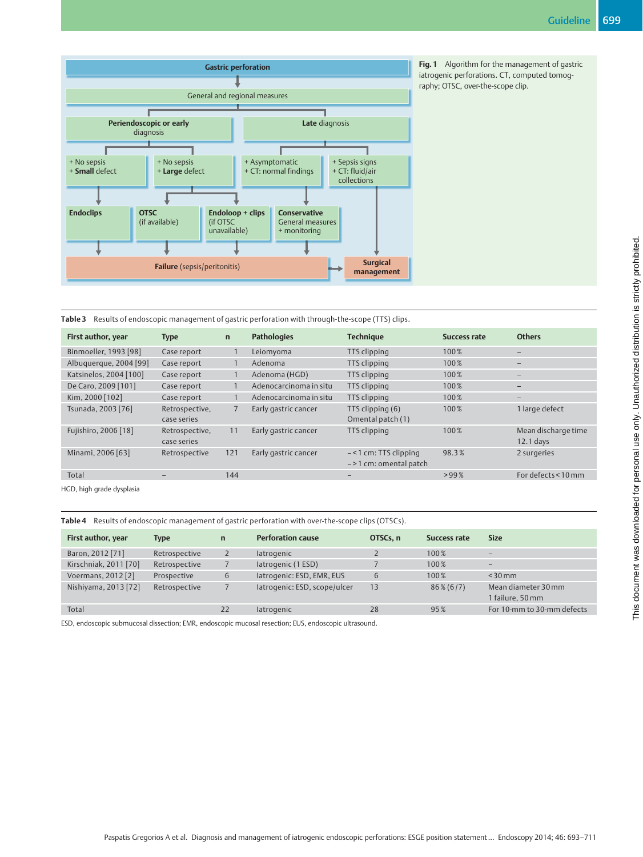

Fig. 1 Algorithm for the management of gastric iatrogenic perforations. CT, computed tomography; OTSC, over-the-scope clip.

Table 3 Results of endoscopic management of gastric perforation with through-the-scope (TTS) clips.

| First author, year     | <b>Type</b>       | $\mathbf n$ | <b>Pathologies</b>     | <b>Technique</b>        | Success rate | <b>Others</b>       |
|------------------------|-------------------|-------------|------------------------|-------------------------|--------------|---------------------|
| Binmoeller, 1993 [98]  | Case report       |             | Leiomyoma              | TTS clipping            | 100%         | $\qquad \qquad -$   |
| Albuquerque, 2004 [99] | Case report       |             | Adenoma                | TTS clipping            | 100%         | $\qquad \qquad -$   |
| Katsinelos, 2004 [100] | Case report       |             | Adenoma (HGD)          | TTS clipping            | 100%         | $\qquad \qquad -$   |
| De Caro, 2009 [101]    | Case report       |             | Adenocarcinoma in situ | TTS clipping            | 100%         | $\qquad \qquad -$   |
| Kim, 2000 [102]        | Case report       |             | Adenocarcinoma in situ | TTS clipping            | 100%         | $\qquad \qquad -$   |
| Tsunada, 2003 [76]     | Retrospective,    | 7           | Early gastric cancer   | TTS clipping (6)        | 100%         | 1 large defect      |
|                        | case series       |             |                        | Omental patch (1)       |              |                     |
| Fujishiro, 2006 [18]   | Retrospective,    | 11          | Early gastric cancer   | TTS clipping            | 100%         | Mean discharge time |
|                        | case series       |             |                        |                         |              | $12.1$ days         |
| Minami, 2006 [63]      | Retrospective     | 121         | Early gastric cancer   | $-$ <1 cm: TTS clipping | 98.3%        | 2 surgeries         |
|                        |                   |             |                        | ->1 cm: omental patch   |              |                     |
| Total                  | $\qquad \qquad -$ | 144         |                        | $\qquad \qquad -$       | >99%         | For defects < 10 mm |

HGD, high grade dysplasia

|  | Table 4 Results of endoscopic management of gastric perforation with over-the-scope clips (OTSCs). |  |  |  |
|--|----------------------------------------------------------------------------------------------------|--|--|--|
|--|----------------------------------------------------------------------------------------------------|--|--|--|

| <b>Type</b>   | $\mathsf{n}$   | <b>Perforation cause</b>     | OTSCs. n | Success rate | <b>Size</b>                             |
|---------------|----------------|------------------------------|----------|--------------|-----------------------------------------|
| Retrospective | $\overline{2}$ | latrogenic                   |          | 100%         |                                         |
| Retrospective |                | latrogenic (1 ESD)           |          | 100%         | -                                       |
| Prospective   | 6              | latrogenic: ESD, EMR, EUS    | 6        | 100%         | $<$ 30 mm                               |
| Retrospective |                | latrogenic: ESD, scope/ulcer | 13       | $86\% (6/7)$ | Mean diameter 30 mm<br>1 failure, 50 mm |
|               | 22             | latrogenic                   | 28       | 95%          | For 10-mm to 30-mm defects              |
|               |                |                              |          |              |                                         |

ESD, endoscopic submucosal dissection; EMR, endoscopic mucosal resection; EUS, endoscopic ultrasound.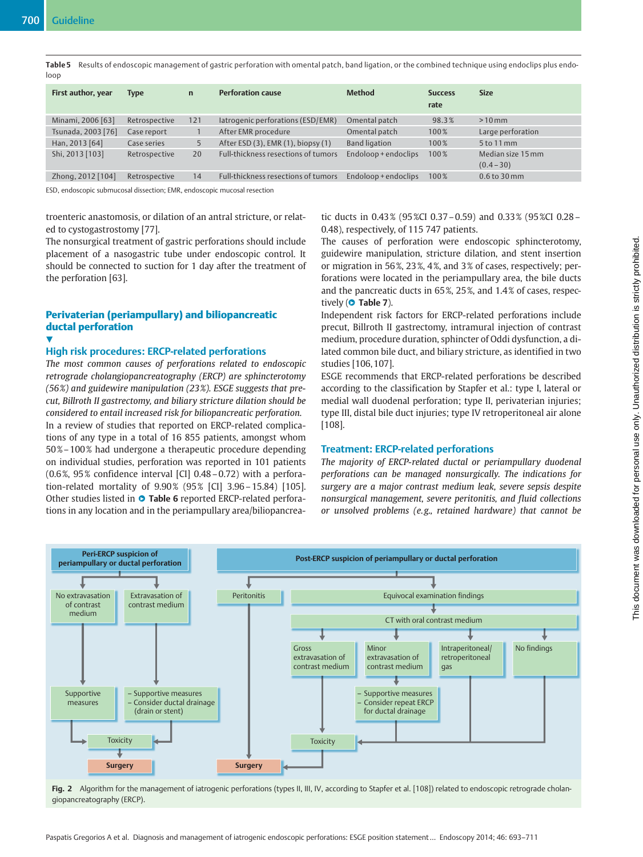| First author, year | <b>Type</b>   | $\mathbf n$ | <b>Perforation cause</b>            | <b>Method</b>        | <b>Success</b><br>rate | <b>Size</b>                       |
|--------------------|---------------|-------------|-------------------------------------|----------------------|------------------------|-----------------------------------|
| Minami, 2006 [63]  | Retrospective | 121         | latrogenic perforations (ESD/EMR)   | Omental patch        | 98.3%                  | $>10$ mm                          |
| Tsunada, 2003 [76] | Case report   |             | After EMR procedure                 | Omental patch        | 100%                   | Large perforation                 |
| Han, 2013 [64]     | Case series   | 5           | After ESD (3), EMR (1), biopsy (1)  | <b>Band ligation</b> | 100%                   | 5 to 11 mm                        |
| Shi, 2013 [103]    | Retrospective | 20          | Full-thickness resections of tumors | Endoloop + endoclips | 100%                   | Median size 15 mm<br>$(0.4 - 30)$ |
| Zhong, 2012 [104]  | Retrospective | 14          | Full-thickness resections of tumors | Endoloop + endoclips | 100%                   | $0.6$ to $30$ mm                  |

Table 5 Results of endoscopic management of gastric perforation with omental patch, band ligation, or the combined technique using endoclips plus endoloop

ESD, endoscopic submucosal dissection; EMR, endoscopic mucosal resection

troenteric anastomosis, or dilation of an antral stricture, or related to cystogastrostomy [77].

The nonsurgical treatment of gastric perforations should include placement of a nasogastric tube under endoscopic control. It should be connected to suction for 1 day after the treatment of the perforation [63].

#### Perivaterian (periampullary) and biliopancreatic ductal perforation **.**

#### High risk procedures: ERCP-related perforations

The most common causes of perforations related to endoscopic retrograde cholangiopancreatography (ERCP) are sphincterotomy (56 %) and guidewire manipulation (23 %). ESGE suggests that precut, Billroth II gastrectomy, and biliary stricture dilation should be considered to entail increased risk for biliopancreatic perforation.

In a review of studies that reported on ERCP-related complications of any type in a total of 16 855 patients, amongst whom 50 %–100 % had undergone a therapeutic procedure depending on individual studies, perforation was reported in 101 patients (0.6%, 95% confidence interval  $|CI|$  0.48 – 0.72) with a perforation-related mortality of 9.90% (95% [CI] 3.96-15.84) [105]. Other studies listed in  $\bullet$  Table 6 reported ERCP-related perforations in any location and in the periampullary area/biliopancreatic ducts in 0.43 % (95 %CI 0.37–0.59) and 0.33 % (95 %CI 0.28– 0.48), respectively, of 115 747 patients.

The causes of perforation were endoscopic sphincterotomy, guidewire manipulation, stricture dilation, and stent insertion or migration in 56 %, 23 %, 4 %, and 3 % of cases, respectively; perforations were located in the periampullary area, the bile ducts and the pancreatic ducts in 65 %, 25 %, and 1.4 % of cases, respectively ( $\bullet$  Table 7).

Independent risk factors for ERCP-related perforations include precut, Billroth II gastrectomy, intramural injection of contrast medium, procedure duration, sphincter of Oddi dysfunction, a dilated common bile duct, and biliary stricture, as identified in two studies [106, 107].

ESGE recommends that ERCP-related perforations be described according to the classification by Stapfer et al.: type I, lateral or medial wall duodenal perforation; type II, perivaterian injuries; type III, distal bile duct injuries; type IV retroperitoneal air alone [108].

#### Treatment: ERCP-related perforations

The majority of ERCP-related ductal or periampullary duodenal perforations can be managed nonsurgically. The indications for surgery are a major contrast medium leak, severe sepsis despite nonsurgical management, severe peritonitis, and fluid collections or unsolved problems (e.g., retained hardware) that cannot be



Fig. 2 Algorithm for the management of iatrogenic perforations (types II, III, IV, according to Stapfer et al. [108]) related to endoscopic retrograde cholangiopancreatography (ERCP).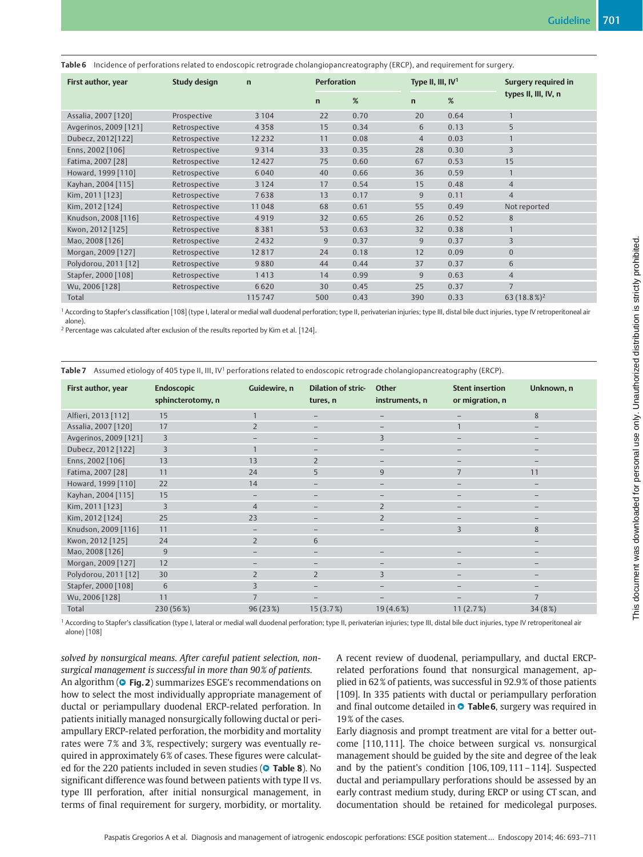| Table 6 Incidence of perforations related to endoscopic retrograde cholangiopancreatography (ERCP), and requirement for surgery. |  |  |
|----------------------------------------------------------------------------------------------------------------------------------|--|--|
|                                                                                                                                  |  |  |

| First author, year    | Study design  | $\mathbf n$ |     | <b>Perforation</b> |                | Type II, III, $IV1$ | Surgery required in     |
|-----------------------|---------------|-------------|-----|--------------------|----------------|---------------------|-------------------------|
|                       |               |             | n   | $\%$               | $\mathsf{n}$   | %                   | types II, III, IV, n    |
| Assalia, 2007 [120]   | Prospective   | 3 1 0 4     | 22  | 0.70               | 20             | 0.64                | $\mathbf{1}$            |
| Avgerinos, 2009 [121] | Retrospective | 4358        | 15  | 0.34               | 6              | 0.13                | 5                       |
| Dubecz, 2012[122]     | Retrospective | 12232       | 11  | 0.08               | $\overline{4}$ | 0.03                | $\mathbf{1}$            |
| Enns, 2002 [106]      | Retrospective | 9314        | 33  | 0.35               | 28             | 0.30                | 3                       |
| Fatima, 2007 [28]     | Retrospective | 12427       | 75  | 0.60               | 67             | 0.53                | 15                      |
| Howard, 1999 [110]    | Retrospective | 6040        | 40  | 0.66               | 36             | 0.59                | $\mathbf{1}$            |
| Kayhan, 2004 [115]    | Retrospective | 3 1 2 4     | 17  | 0.54               | 15             | 0.48                | $\overline{4}$          |
| Kim, 2011 [123]       | Retrospective | 7638        | 13  | 0.17               | 9              | 0.11                | $\overline{4}$          |
| Kim, 2012 [124]       | Retrospective | 11048       | 68  | 0.61               | 55             | 0.49                | Not reported            |
| Knudson, 2008 [116]   | Retrospective | 4919        | 32  | 0.65               | 26             | 0.52                | 8                       |
| Kwon, 2012 [125]      | Retrospective | 8381        | 53  | 0.63               | 32             | 0.38                | $\mathbf{1}$            |
| Mao, 2008 [126]       | Retrospective | 2 4 3 2     | 9   | 0.37               | 9              | 0.37                | 3                       |
| Morgan, 2009 [127]    | Retrospective | 12817       | 24  | 0.18               | 12             | 0.09                | $\Omega$                |
| Polydorou, 2011 [12]  | Retrospective | 9880        | 44  | 0.44               | 37             | 0.37                | 6                       |
| Stapfer, 2000 [108]   | Retrospective | 1413        | 14  | 0.99               | 9              | 0.63                | $\overline{4}$          |
| Wu, 2006 [128]        | Retrospective | 6620        | 30  | 0.45               | 25             | 0.37                | $\overline{7}$          |
| Total                 |               | 115747      | 500 | 0.43               | 390            | 0.33                | 63 (18.8%) <sup>2</sup> |

<sup>1</sup> According to Stapfer's classification [108] (type I, lateral or medial wall duodenal perforation; type II, perivaterian injuries; type III, distal bile duct injuries, type IV retroperitoneal air alone).

<sup>2</sup> Percentage was calculated after exclusion of the results reported by Kim et al. [124].

Table 7 Assumed etiology of 405 type II, III, IV<sup>1</sup> perforations related to endoscopic retrograde cholangiopancreatography (ERCP).

| First author, year    | <b>Endoscopic</b><br>sphincterotomy, n | Guidewire, n             | <b>Dilation of stric-</b><br>tures, n | <b>Other</b><br>instruments, n | <b>Stent insertion</b><br>or migration, n | Unknown, n |
|-----------------------|----------------------------------------|--------------------------|---------------------------------------|--------------------------------|-------------------------------------------|------------|
| Alfieri, 2013 [112]   | 15                                     |                          |                                       |                                |                                           | 8          |
| Assalia, 2007 [120]   | 17                                     | $\overline{2}$           |                                       |                                |                                           |            |
| Avgerinos, 2009 [121] | 3                                      |                          |                                       | 3                              |                                           |            |
| Dubecz, 2012 [122]    | 3                                      |                          |                                       | $\overline{\phantom{0}}$       |                                           |            |
| Enns, 2002 [106]      | 13                                     | 13                       | $\overline{2}$                        | $\qquad \qquad -$              |                                           |            |
| Fatima, 2007 [28]     | 11                                     | 24                       | 5                                     | 9                              | $\overline{7}$                            | 11         |
| Howard, 1999 [110]    | 22                                     | 14                       |                                       | $\overline{\phantom{0}}$       |                                           |            |
| Kayhan, 2004 [115]    | 15                                     | $\overline{\phantom{0}}$ |                                       |                                |                                           |            |
| Kim, 2011 [123]       | 3                                      | $\overline{4}$           |                                       | $\overline{2}$                 |                                           |            |
| Kim, 2012 [124]       | 25                                     | 23                       |                                       | $\overline{2}$                 |                                           |            |
| Knudson, 2009 [116]   | 11                                     |                          |                                       |                                | 3                                         | 8          |
| Kwon, 2012 [125]      | 24                                     | $\overline{2}$           | 6                                     |                                |                                           |            |
| Mao, 2008 [126]       | 9                                      |                          |                                       |                                |                                           |            |
| Morgan, 2009 [127]    | 12                                     | $\overline{\phantom{0}}$ |                                       | -                              |                                           |            |
| Polydorou, 2011 [12]  | 30                                     | $\overline{2}$           | $\overline{2}$                        | 3                              |                                           |            |
| Stapfer, 2000 [108]   | 6                                      | 3                        |                                       |                                |                                           |            |
| Wu, 2006 [128]        | 11                                     |                          |                                       |                                |                                           |            |
| Total                 | 230 (56%)                              | 96(23%)                  | 15(3.7%)                              | $19(4.6\%)$                    | 11(2.7%)                                  | 34(8%)     |

<sup>1</sup> According to Stapfer's classification (type I, lateral or medial wall duodenal perforation; type II, perivaterian injuries; type III, distal bile duct injuries, type IV retroperitoneal air alone) [108]

solved by nonsurgical means. After careful patient selection, nonsurgical management is successful in more than 90% of patients.

An algorithm (**O** Fig. 2) summarizes ESGE's recommendations on how to select the most individually appropriate management of ductal or periampullary duodenal ERCP-related perforation. In patients initially managed nonsurgically following ductal or periampullary ERCP-related perforation, the morbidity and mortality rates were 7% and 3%, respectively; surgery was eventually required in approximately 6 % of cases. These figures were calculated for the 220 patients included in seven studies (O Table 8). No significant difference was found between patients with type II vs. type III perforation, after initial nonsurgical management, in terms of final requirement for surgery, morbidity, or mortality.

A recent review of duodenal, periampullary, and ductal ERCPrelated perforations found that nonsurgical management, applied in 62 % of patients, was successful in 92.9 % of those patients [109]. In 335 patients with ductal or periampullary perforation and final outcome detailed in  $\bullet$  Table 6, surgery was required in 19% of the cases.

Early diagnosis and prompt treatment are vital for a better outcome [110, 111]. The choice between surgical vs. nonsurgical management should be guided by the site and degree of the leak and by the patient's condition [106, 109, 111–114]. Suspected ductal and periampullary perforations should be assessed by an early contrast medium study, during ERCP or using CT scan, and documentation should be retained for medicolegal purposes.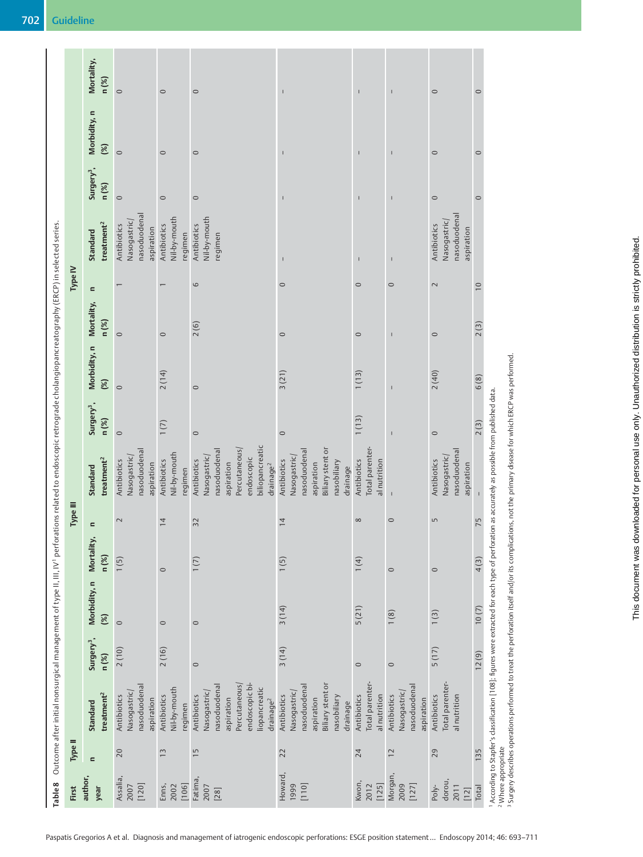|                                                                                                                                                                     |          | Mortality,<br>n(%)                        | $\circ$                                                   | $\circ$                                | $\circ$                                                                                                                              | $\mathbf{I}$                                                                                                    | $\mathbf{I}$                                   |                                                           | $\circ$                                                   |
|---------------------------------------------------------------------------------------------------------------------------------------------------------------------|----------|-------------------------------------------|-----------------------------------------------------------|----------------------------------------|--------------------------------------------------------------------------------------------------------------------------------------|-----------------------------------------------------------------------------------------------------------------|------------------------------------------------|-----------------------------------------------------------|-----------------------------------------------------------|
|                                                                                                                                                                     |          | Morbidity, n<br>(%)                       | $\circ$                                                   | $\circ$                                | $\circ$                                                                                                                              | $\overline{1}$                                                                                                  | $\mathbf{I}$                                   |                                                           | $\circ$                                                   |
|                                                                                                                                                                     |          | Surgery <sup>3</sup> ,<br>$n$ (%)         | $\circ$                                                   | $\circ$                                | $\circ$                                                                                                                              | $\overline{1}$                                                                                                  | $\mathbf{I}$                                   |                                                           | $\circ$                                                   |
|                                                                                                                                                                     |          | treatment <sup>2</sup><br>Standard        | nasoduodenal<br>Nasogastric/<br>Antibiotics<br>aspiration | Nil-by-mouth<br>Antibiotics<br>regimen | Nil-by-mouth<br>Antibiotics<br>regimen                                                                                               | $\mathbf{I}$                                                                                                    | $\mathbf{I}$                                   |                                                           | nasoduodenal<br>Nasogastric<br>Antibiotics<br>aspiration  |
|                                                                                                                                                                     | Type IV  | $\blacksquare$                            |                                                           |                                        | $\circ$                                                                                                                              | $\circ$                                                                                                         | $\circ$                                        | $\circ$                                                   | $\sim$                                                    |
|                                                                                                                                                                     |          | Mortality,<br>n(%)                        | $\circ$                                                   | $\circ$                                | 2(6)                                                                                                                                 | $\circ$                                                                                                         | $\circ$                                        |                                                           | $\circ$                                                   |
|                                                                                                                                                                     |          | Morbidity, n<br>(%)                       | $\circ$                                                   | 2(14)                                  | $\circ$                                                                                                                              | 3(21)                                                                                                           | 1(13)                                          |                                                           | 2(40)                                                     |
|                                                                                                                                                                     |          | Surgery <sup>3</sup> ,<br>n(%)            | $\circ$                                                   | 1(7)                                   | $\circ$                                                                                                                              | $\circ$                                                                                                         | 1(13)                                          |                                                           | $\circ$                                                   |
| Outcome after initial nonsurgical management of type II, III, IV' perforations related to endoscopic retrograde cholangiopancreatography (ERCP) in selected series. |          | treatment <sup>2</sup><br><b>Standard</b> | nasoduodenal<br>Naso gastric<br>Antibiotics<br>aspiration | Nil-by-mouth<br>Antibiotics<br>regimen | biliopancreatic<br>Percutaneous<br>nasoduodenal<br>Nasogastric<br>endoscopic<br>Antibiotics<br>aspiration<br>drainage <sup>2</sup>   | <b>Biliary stent or</b><br>nasoduodenal<br>Nasogastric/<br>Antibiotics<br>nasobiliary<br>aspiration<br>drainage | Total parenter-<br>Antibiotics<br>al nutrition |                                                           | nasoduodenal<br>Nasogastric/<br>Antibiotics<br>aspiration |
|                                                                                                                                                                     | Type III | $\equiv$                                  | $\sim$                                                    | $\overline{4}$                         | $\overline{32}$                                                                                                                      | $\overline{4}$                                                                                                  | $\infty$                                       | $\circ$                                                   | LN                                                        |
|                                                                                                                                                                     |          | Mortality,<br>n (%)                       | 1(5)                                                      | $\circ$                                | 1(7)                                                                                                                                 | 1(5)                                                                                                            | 1(4)                                           | $\circ$                                                   | $\circ$                                                   |
|                                                                                                                                                                     |          | Morbidity, n<br>(%)                       | $\circ$                                                   | $\circ$                                | $\circ$                                                                                                                              | 3(14)                                                                                                           | 5(21)                                          | 1(8)                                                      | 1(3)                                                      |
|                                                                                                                                                                     |          | Surgery <sup>3</sup> ,<br>$n$ (%)         | 2(10)                                                     | 2(16)                                  | $\circ$                                                                                                                              | 3(14)                                                                                                           | $\circ$                                        | $\circ$                                                   | 5(17)                                                     |
|                                                                                                                                                                     |          | treatment <sup>2</sup><br>Standard        | nasoduodenal<br>Nasogastric/<br>Antibiotics<br>aspiration | Nil-by-mouth<br>Antibiotics<br>regimen | Percutaneous<br>endoscopic bi-<br>nasoduodenal<br>liopancreatic<br>Nasogastric<br>Antibiotics<br>aspiration<br>drainage <sup>2</sup> | Biliary stent or<br>nasoduodenal<br>Nasogastric/<br>Antibiotics<br>nasobiliary<br>aspiration<br>drainage        | Total parenter-<br>Antibiotics<br>al nutrition | nasoduodenal<br>Nasogastric/<br>Antibiotics<br>aspiration | Total parenter-<br>Antibiotics<br>al nutrition            |
|                                                                                                                                                                     | Type II  | $\equiv$                                  | 20                                                        | $\overline{13}$                        | $\overline{15}$                                                                                                                      | 22                                                                                                              | 24                                             | $\overline{12}$                                           | 29                                                        |
| Table <sub>8</sub>                                                                                                                                                  | First    | author,<br>year                           | Assalia,<br>$[120]$<br>2007                               | [106]<br>2002<br>Enns,                 | Fatima,<br>2007<br>$[28]$                                                                                                            | Howard,<br>1999<br>[110]                                                                                        | Kwon,<br>2012<br>$[125]$                       | Morgan,<br>2009<br>[127]                                  | dorou,<br>Poly-<br>2011<br>$[12]$                         |

According to Stapfer's classification [108]; figures were extracted for each type of perforation as accurately as possible from published data.<br>2 Where appropriate

<sup>2</sup> Where appropriate<br><sup>3</sup> Surgery describes operations performed to treat the perforation itself and/or its complications, not the primary disease for which ERCP was performed. Surgery describes operations performed to treat the perforation itself and/or its complications, not the primary disease for which ERCP was performed.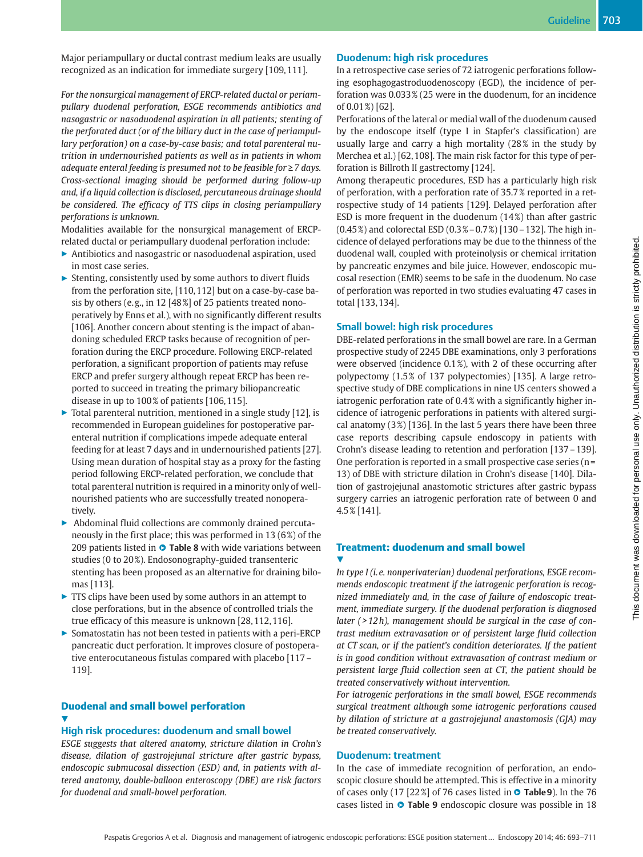Major periampullary or ductal contrast medium leaks are usually recognized as an indication for immediate surgery [109, 111].

For the nonsurgical management of ERCP-related ductal or periampullary duodenal perforation, ESGE recommends antibiotics and nasogastric or nasoduodenal aspiration in all patients; stenting of the perforated duct (or of the biliary duct in the case of periampullary perforation) on a case-by-case basis; and total parenteral nutrition in undernourished patients as well as in patients in whom adequate enteral feeding is presumed not to be feasible for ≥7 days. Cross-sectional imaging should be performed during follow-up and, if a liquid collection is disclosed, percutaneous drainage should be considered. The efficacy of TTS clips in closing periampullary perforations is unknown.

Modalities available for the nonsurgical management of ERCPrelated ductal or periampullary duodenal perforation include:

- ▶ Antibiotics and nasogastric or nasoduodenal aspiration, used in most case series.
- ▶ Stenting, consistently used by some authors to divert fluids from the perforation site, [110, 112] but on a case-by-case basis by others (e.g., in 12 [48%] of 25 patients treated nonoperatively by Enns et al.), with no significantly different results [106]. Another concern about stenting is the impact of abandoning scheduled ERCP tasks because of recognition of perforation during the ERCP procedure. Following ERCP-related perforation, a significant proportion of patients may refuse ERCP and prefer surgery although repeat ERCP has been reported to succeed in treating the primary biliopancreatic disease in up to 100% of patients [106, 115].
- $\triangleright$  Total parenteral nutrition, mentioned in a single study [12], is recommended in European guidelines for postoperative parenteral nutrition if complications impede adequate enteral feeding for at least 7 days and in undernourished patients [27]. Using mean duration of hospital stay as a proxy for the fasting period following ERCP-related perforation, we conclude that total parenteral nutrition is required in a minority only of wellnourished patients who are successfully treated nonoperatively.
- ▶ Abdominal fluid collections are commonly drained percutaneously in the first place; this was performed in 13 (6%) of the 209 patients listed in  $\circ$  Table 8 with wide variations between studies (0 to 20 %). Endosonography-guided transenteric stenting has been proposed as an alternative for draining bilomas [113].
- ▶ TTS clips have been used by some authors in an attempt to close perforations, but in the absence of controlled trials the true efficacy of this measure is unknown [28, 112, 116].
- ▶ Somatostatin has not been tested in patients with a peri-ERCP pancreatic duct perforation. It improves closure of postoperative enterocutaneous fistulas compared with placebo [117– 119].

# Duodenal and small bowel perforation  $\blacktriangledown$

# High risk procedures: duodenum and small bowel

ESGE suggests that altered anatomy, stricture dilation in Crohn's disease, dilation of gastrojejunal stricture after gastric bypass, endoscopic submucosal dissection (ESD) and, in patients with altered anatomy, double-balloon enteroscopy (DBE) are risk factors for duodenal and small-bowel perforation.

# Duodenum: high risk procedures

In a retrospective case series of 72 iatrogenic perforations following esophagogastroduodenoscopy (EGD), the incidence of perforation was 0.033 % (25 were in the duodenum, for an incidence of 0.01 %) [62].

Perforations of the lateral or medial wall of the duodenum caused by the endoscope itself (type I in Stapfer's classification) are usually large and carry a high mortality (28% in the study by Merchea et al.) [62, 108]. The main risk factor for this type of perforation is Billroth II gastrectomy [124].

Among therapeutic procedures, ESD has a particularly high risk of perforation, with a perforation rate of 35.7 % reported in a retrospective study of 14 patients [129]. Delayed perforation after ESD is more frequent in the duodenum (14 %) than after gastric (0.45 %) and colorectal ESD (0.3 %–0.7 %) [130–132]. The high incidence of delayed perforations may be due to the thinness of the duodenal wall, coupled with proteinolysis or chemical irritation by pancreatic enzymes and bile juice. However, endoscopic mucosal resection (EMR) seems to be safe in the duodenum. No case of perforation was reported in two studies evaluating 47 cases in total [133, 134].

# Small bowel: high risk procedures

DBE-related perforations in the small bowel are rare. In a German prospective study of 2245 DBE examinations, only 3 perforations were observed (incidence 0.1 %), with 2 of these occurring after polypectomy (1.5 % of 137 polypectomies) [135]. A large retrospective study of DBE complications in nine US centers showed a iatrogenic perforation rate of 0.4 % with a significantly higher incidence of iatrogenic perforations in patients with altered surgical anatomy (3 %) [136]. In the last 5 years there have been three case reports describing capsule endoscopy in patients with Crohn's disease leading to retention and perforation [137–139]. One perforation is reported in a small prospective case series (n = 13) of DBE with stricture dilation in Crohn's disease [140]. Dilation of gastrojejunal anastomotic strictures after gastric bypass surgery carries an iatrogenic perforation rate of between 0 and 4.5 % [141].

### Treatment: duodenum and small bowel <u>V</u>

In type I (i. e. nonperivaterian) duodenal perforations, ESGE recommends endoscopic treatment if the iatrogenic perforation is recognized immediately and, in the case of failure of endoscopic treatment, immediate surgery. If the duodenal perforation is diagnosed later ( $>12h$ ), management should be surgical in the case of contrast medium extravasation or of persistent large fluid collection at CT scan, or if the patient's condition deteriorates. If the patient is in good condition without extravasation of contrast medium or persistent large fluid collection seen at CT, the patient should be treated conservatively without intervention.

For iatrogenic perforations in the small bowel, ESGE recommends surgical treatment although some iatrogenic perforations caused by dilation of stricture at a gastrojejunal anastomosis (GJA) may be treated conservatively.

# Duodenum: treatment

In the case of immediate recognition of perforation, an endoscopic closure should be attempted. This is effective in a minority of cases only (17 [22%] of 76 cases listed in  $\circ$  Table 9). In the 76 cases listed in  $\bullet$  Table 9 endoscopic closure was possible in 18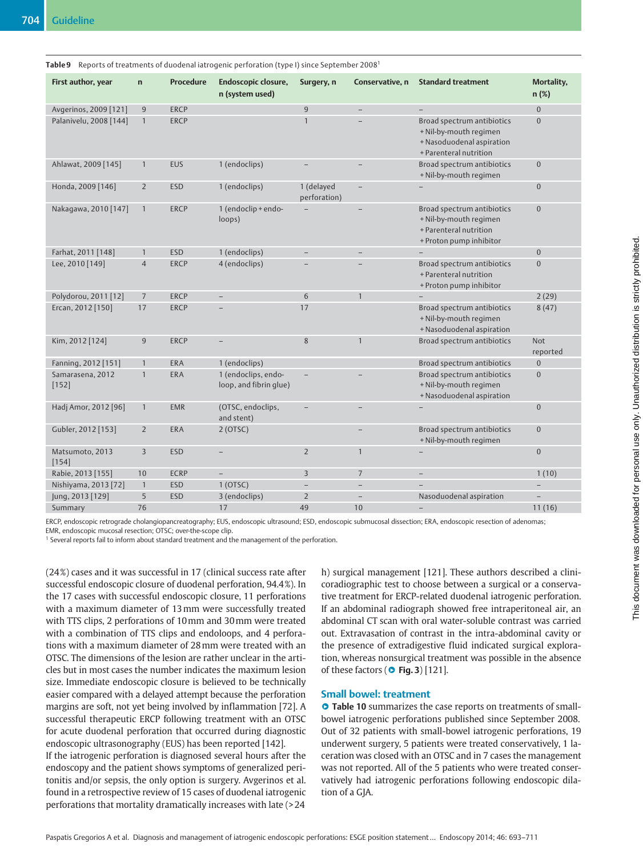| First author, year         | $\mathsf{n}$   | <b>Procedure</b> | Endoscopic closure,<br>n (system used)        | Surgery, n                 | Conservative, n          | <b>Standard treatment</b>                                                                                   | Mortality,<br>n(%)       |
|----------------------------|----------------|------------------|-----------------------------------------------|----------------------------|--------------------------|-------------------------------------------------------------------------------------------------------------|--------------------------|
| Avgerinos, 2009 [121]      | 9              | <b>ERCP</b>      |                                               | $\overline{9}$             |                          | $\equiv$                                                                                                    | $\overline{0}$           |
| Palanivelu, 2008 [144]     | $\mathbf{1}$   | <b>ERCP</b>      |                                               | $\mathbf{1}$               |                          | Broad spectrum antibiotics<br>+ Nil-by-mouth regimen<br>+ Nasoduodenal aspiration<br>+ Parenteral nutrition | $\overline{0}$           |
| Ahlawat, 2009 [145]        | $\mathbf{1}$   | <b>EUS</b>       | 1 (endoclips)                                 |                            |                          | Broad spectrum antibiotics<br>+ Nil-by-mouth regimen                                                        | $\mathbf{0}$             |
| Honda, 2009 [146]          | $\overline{2}$ | <b>ESD</b>       | 1 (endoclips)                                 | 1 (delayed<br>perforation) | $\overline{\phantom{0}}$ |                                                                                                             | $\mathbf{0}$             |
| Nakagawa, 2010 [147]       | $\mathbf{1}$   | <b>ERCP</b>      | 1 (endoclip + endo-<br>loops)                 |                            | $\overline{\phantom{0}}$ | Broad spectrum antibiotics<br>+ Nil-by-mouth regimen<br>+ Parenteral nutrition<br>+ Proton pump inhibitor   | $\mathbf{0}$             |
| Farhat, 2011 [148]         | $\mathbf{1}$   | <b>ESD</b>       | 1 (endoclips)                                 | $\overline{\phantom{a}}$   | $\overline{\phantom{a}}$ |                                                                                                             | $\mathbf{0}$             |
| Lee, 2010 [149]            | $\overline{4}$ | <b>ERCP</b>      | 4 (endoclips)                                 |                            |                          | Broad spectrum antibiotics<br>+ Parenteral nutrition<br>+ Proton pump inhibitor                             | $\overline{0}$           |
| Polydorou, 2011 [12]       | 7              | <b>ERCP</b>      | $\overline{\phantom{0}}$                      | 6                          | $\mathbf{1}$             |                                                                                                             | 2(29)                    |
| Ercan, 2012 [150]          | 17             | <b>ERCP</b>      | $\overline{\phantom{0}}$                      | 17                         |                          | Broad spectrum antibiotics<br>+ Nil-by-mouth regimen<br>+ Nasoduodenal aspiration                           | 8(47)                    |
| Kim, 2012 [124]            | $9\,$          | <b>ERCP</b>      | $\qquad \qquad -$                             | 8                          | $\mathbf{1}$             | Broad spectrum antibiotics                                                                                  | <b>Not</b><br>reported   |
| Fanning, 2012 [151]        | $\mathbf{1}$   | ERA              | 1 (endoclips)                                 |                            |                          | Broad spectrum antibiotics                                                                                  | $\mathbf{0}$             |
| Samarasena, 2012<br>[152]  | $\mathbf{1}$   | <b>ERA</b>       | 1 (endoclips, endo-<br>loop, and fibrin glue) | $\overline{a}$             |                          | Broad spectrum antibiotics<br>+ Nil-by-mouth regimen<br>+ Nasoduodenal aspiration                           | $\overline{0}$           |
| Hadj Amor, 2012 [96]       | $\mathbf{1}$   | <b>EMR</b>       | (OTSC, endoclips,<br>and stent)               |                            |                          |                                                                                                             | $\mathbf{0}$             |
| Gubler, 2012 [153]         | $\overline{2}$ | ERA              | 2(OTSC)                                       |                            | $\overline{\phantom{a}}$ | Broad spectrum antibiotics<br>+ Nil-by-mouth regimen                                                        | $\mathbf{0}$             |
| Matsumoto, 2013<br>$[154]$ | 3              | <b>ESD</b>       | $\overline{\phantom{0}}$                      | $\overline{2}$             | $\mathbf{1}$             |                                                                                                             | $\mathbf{0}$             |
| Rabie, 2013 [155]          | 10             | <b>ECRP</b>      | $\qquad \qquad -$                             | 3                          | $\overline{7}$           | $\overline{\phantom{a}}$                                                                                    | 1(10)                    |
| Nishiyama, 2013 [72]       | $\mathbf{1}$   | <b>ESD</b>       | 1 (OTSC)                                      | $\overline{a}$             | $\overline{\phantom{a}}$ |                                                                                                             | $\overline{\phantom{0}}$ |
| Jung, 2013 [129]           | 5              | <b>ESD</b>       | 3 (endoclips)                                 | $\overline{2}$             | $\overline{\phantom{a}}$ | Nasoduodenal aspiration                                                                                     |                          |
| Summary                    | 76             |                  | 17                                            | 49                         | 10                       |                                                                                                             | 11(16)                   |

Table 9 Reports of treatments of duodenal iatrogenic perforation (type I) since September 2008<sup>1</sup>

ERCP, endoscopic retrograde cholangiopancreatography; EUS, endoscopic ultrasound; ESD, endoscopic submucosal dissection; ERA, endoscopic resection of adenomas; EMR, endoscopic mucosal resection; OTSC; over-the-scope clip.

<sup>1</sup> Several reports fail to inform about standard treatment and the management of the perforation.

(24%) cases and it was successful in 17 (clinical success rate after successful endoscopic closure of duodenal perforation, 94.4 %). In the 17 cases with successful endoscopic closure, 11 perforations with a maximum diameter of 13mm were successfully treated with TTS clips, 2 perforations of 10mm and 30mm were treated with a combination of TTS clips and endoloops, and 4 perforations with a maximum diameter of 28mm were treated with an OTSC. The dimensions of the lesion are rather unclear in the articles but in most cases the number indicates the maximum lesion size. Immediate endoscopic closure is believed to be technically easier compared with a delayed attempt because the perforation margins are soft, not yet being involved by inflammation [72]. A successful therapeutic ERCP following treatment with an OTSC for acute duodenal perforation that occurred during diagnostic endoscopic ultrasonography (EUS) has been reported [142]. If the iatrogenic perforation is diagnosed several hours after the

endoscopy and the patient shows symptoms of generalized peritonitis and/or sepsis, the only option is surgery. Avgerinos et al. found in a retrospective review of 15 cases of duodenal iatrogenic perforations that mortality dramatically increases with late (> 24

h) surgical management [121]. These authors described a clinicoradiographic test to choose between a surgical or a conservative treatment for ERCP-related duodenal iatrogenic perforation. If an abdominal radiograph showed free intraperitoneal air, an abdominal CT scan with oral water-soluble contrast was carried out. Extravasation of contrast in the intra-abdominal cavity or the presence of extradigestive fluid indicated surgical exploration, whereas nonsurgical treatment was possible in the absence of these factors ( $\bullet$  Fig. 3) [121].

### Small bowel: treatment

**• Table 10** summarizes the case reports on treatments of smallbowel iatrogenic perforations published since September 2008. Out of 32 patients with small-bowel iatrogenic perforations, 19 underwent surgery, 5 patients were treated conservatively, 1 laceration was closed with an OTSC and in 7 cases the management was not reported. All of the 5 patients who were treated conservatively had iatrogenic perforations following endoscopic dilation of a GJA.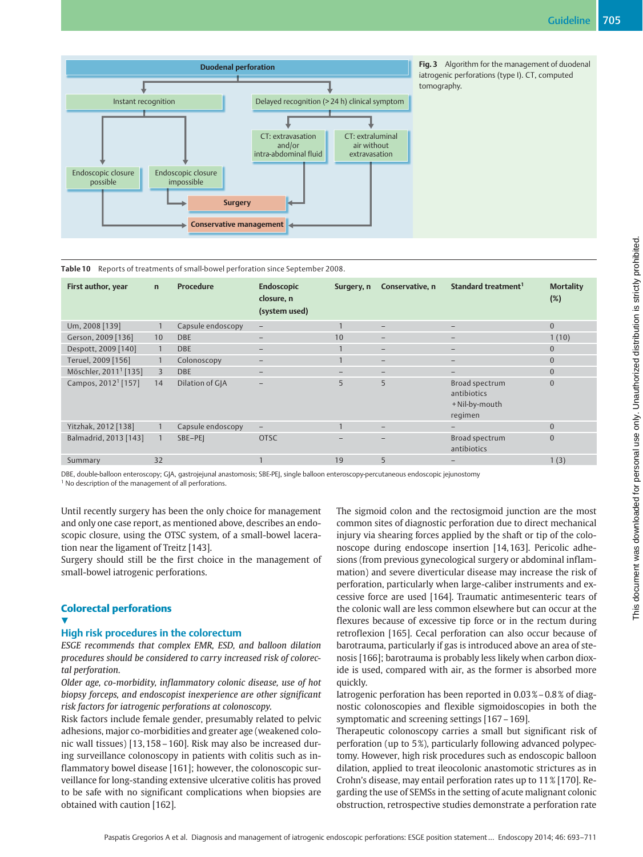

Fig. 3 Algorithm for the management of duodenal iatrogenic perforations (type I). CT, computed tomography.

Table 10 Reports of treatments of small-bowel perforation since September 2008.

| First author, year                | $\mathbf n$  | <b>Procedure</b>  | <b>Endoscopic</b><br>closure, n<br>(system used) | Surgery, n | Conservative, n          | Standard treatment <sup>1</sup>                           | <b>Mortality</b><br>(%) |
|-----------------------------------|--------------|-------------------|--------------------------------------------------|------------|--------------------------|-----------------------------------------------------------|-------------------------|
| Um, 2008 [139]                    |              | Capsule endoscopy | -                                                |            | $\overline{\phantom{0}}$ | $\qquad \qquad$                                           | $\Omega$                |
| Gerson, 2009 [136]                | 10           | <b>DBE</b>        | -                                                | 10         | $\qquad \qquad -$        | $\qquad \qquad -$                                         | 1(10)                   |
| Despott, 2009 [140]               | $\mathbf{1}$ | <b>DBE</b>        | $\overline{\phantom{0}}$                         |            | $\overline{\phantom{0}}$ | $\overline{\phantom{0}}$                                  | $\mathbf{0}$            |
| Teruel, 2009 [156]                | $\mathbf{1}$ | Colonoscopy       | $\overline{\phantom{0}}$                         |            | $\overline{\phantom{0}}$ |                                                           | $\overline{0}$          |
| Möschler, 2011 <sup>1</sup> [135] | 3            | <b>DBE</b>        | $\overline{\phantom{0}}$                         | -          | $\overline{\phantom{0}}$ | -                                                         | $\mathbf{0}$            |
| Campos, 2012 <sup>1</sup> [157]   | 14           | Dilation of GIA   |                                                  | 5          | 5                        | Broad spectrum<br>antibiotics<br>+Nil-by-mouth<br>regimen | $\Omega$                |
| Yitzhak, 2012 [138]               |              | Capsule endoscopy | $\overline{\phantom{0}}$                         |            | -                        |                                                           | $\Omega$                |
| Balmadrid, 2013 [143]             | $\mathbf{1}$ | SBE-PEI           | <b>OTSC</b>                                      | -          |                          | Broad spectrum<br>antibiotics                             | $\overline{0}$          |
| Summary                           | 32           |                   |                                                  | 19         | 5                        | $\qquad \qquad$                                           | 1(3)                    |

DBE, double-balloon enteroscopy; GJA, gastrojejunal anastomosis; SBE-PEJ, single balloon enteroscopy-percutaneous endoscopic jejunostomy

<sup>1</sup> No description of the management of all perforations.

Until recently surgery has been the only choice for management and only one case report, as mentioned above, describes an endoscopic closure, using the OTSC system, of a small-bowel laceration near the ligament of Treitz [143].

Surgery should still be the first choice in the management of small-bowel iatrogenic perforations.

# Colorectal perforations

 $\blacktriangledown$ 

# High risk procedures in the colorectum

ESGE recommends that complex EMR, ESD, and balloon dilation procedures should be considered to carry increased risk of colorectal perforation.

Older age, co-morbidity, inflammatory colonic disease, use of hot biopsy forceps, and endoscopist inexperience are other significant risk factors for iatrogenic perforations at colonoscopy.

Risk factors include female gender, presumably related to pelvic adhesions, major co-morbidities and greater age (weakened colonic wall tissues) [13, 158–160]. Risk may also be increased during surveillance colonoscopy in patients with colitis such as inflammatory bowel disease [161]; however, the colonoscopic surveillance for long-standing extensive ulcerative colitis has proved to be safe with no significant complications when biopsies are obtained with caution [162].

The sigmoid colon and the rectosigmoid junction are the most common sites of diagnostic perforation due to direct mechanical injury via shearing forces applied by the shaft or tip of the colonoscope during endoscope insertion [14, 163]. Pericolic adhesions (from previous gynecological surgery or abdominal inflammation) and severe diverticular disease may increase the risk of perforation, particularly when large-caliber instruments and excessive force are used [164]. Traumatic antimesenteric tears of the colonic wall are less common elsewhere but can occur at the flexures because of excessive tip force or in the rectum during retroflexion [165]. Cecal perforation can also occur because of barotrauma, particularly if gas is introduced above an area of stenosis [166]; barotrauma is probably less likely when carbon dioxide is used, compared with air, as the former is absorbed more quickly.

Iatrogenic perforation has been reported in 0.03 %–0.8 % of diagnostic colonoscopies and flexible sigmoidoscopies in both the symptomatic and screening settings [167–169].

Therapeutic colonoscopy carries a small but significant risk of perforation (up to 5 %), particularly following advanced polypectomy. However, high risk procedures such as endoscopic balloon dilation, applied to treat ileocolonic anastomotic strictures as in Crohn's disease, may entail perforation rates up to 11 % [170]. Regarding the use of SEMSs in the setting of acute malignant colonic obstruction, retrospective studies demonstrate a perforation rate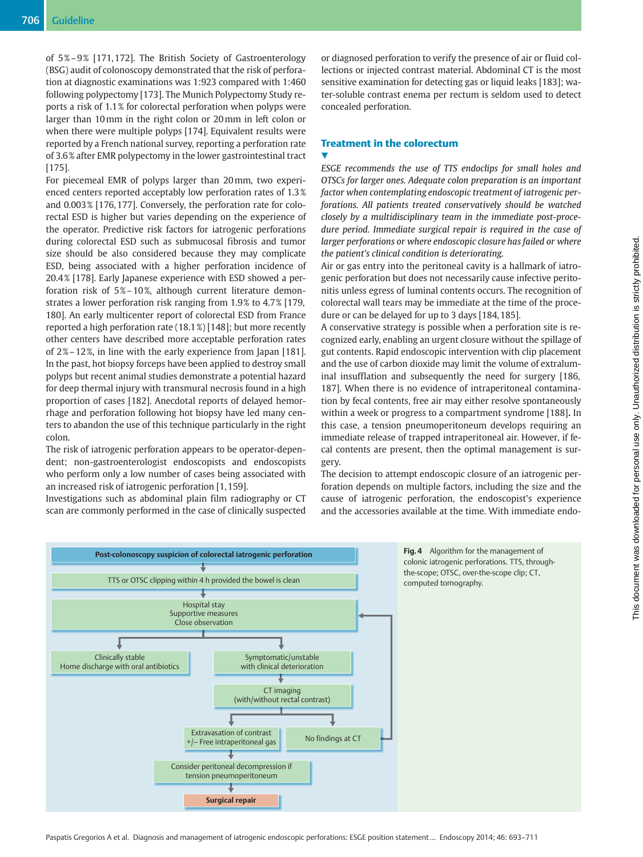of 5%-9% [171,172]. The British Society of Gastroenterology (BSG) audit of colonoscopy demonstrated that the risk of perforation at diagnostic examinations was 1:923 compared with 1:460 following polypectomy [173]. The Munich Polypectomy Study reports a risk of 1.1 % for colorectal perforation when polyps were larger than 10mm in the right colon or 20mm in left colon or when there were multiple polyps [174]. Equivalent results were reported by a French national survey, reporting a perforation rate of 3.6 % after EMR polypectomy in the lower gastrointestinal tract [175].

For piecemeal EMR of polyps larger than 20mm, two experienced centers reported acceptably low perforation rates of 1.3 % and 0.003 % [176, 177]. Conversely, the perforation rate for colorectal ESD is higher but varies depending on the experience of the operator. Predictive risk factors for iatrogenic perforations during colorectal ESD such as submucosal fibrosis and tumor size should be also considered because they may complicate ESD, being associated with a higher perforation incidence of 20.4 % [178]. Early Japanese experience with ESD showed a perforation risk of 5%-10%, although current literature demonstrates a lower perforation risk ranging from 1.9 % to 4.7 % [179, 180]. An early multicenter report of colorectal ESD from France reported a high perforation rate (18.1 %) [148]; but more recently other centers have described more acceptable perforation rates of 2 %–12 %, in line with the early experience from Japan [181]. In the past, hot biopsy forceps have been applied to destroy small polyps but recent animal studies demonstrate a potential hazard for deep thermal injury with transmural necrosis found in a high proportion of cases [182]. Anecdotal reports of delayed hemorrhage and perforation following hot biopsy have led many centers to abandon the use of this technique particularly in the right colon.

The risk of iatrogenic perforation appears to be operator-dependent; non-gastroenterologist endoscopists and endoscopists who perform only a low number of cases being associated with an increased risk of iatrogenic perforation [1, 159].

Investigations such as abdominal plain film radiography or CT scan are commonly performed in the case of clinically suspected or diagnosed perforation to verify the presence of air or fluid collections or injected contrast material. Abdominal CT is the most sensitive examination for detecting gas or liquid leaks [183]; water-soluble contrast enema per rectum is seldom used to detect concealed perforation.

# Treatment in the colorectum **V**

ESGE recommends the use of TTS endoclips for small holes and OTSCs for larger ones. Adequate colon preparation is an important factor when contemplating endoscopic treatment of iatrogenic perforations. All patients treated conservatively should be watched closely by a multidisciplinary team in the immediate post-procedure period. Immediate surgical repair is required in the case of larger perforations or where endoscopic closure has failed or where the patient's clinical condition is deteriorating.

Air or gas entry into the peritoneal cavity is a hallmark of iatrogenic perforation but does not necessarily cause infective peritonitis unless egress of luminal contents occurs. The recognition of colorectal wall tears may be immediate at the time of the procedure or can be delayed for up to 3 days [184, 185].

A conservative strategy is possible when a perforation site is recognized early, enabling an urgent closure without the spillage of gut contents. Rapid endoscopic intervention with clip placement and the use of carbon dioxide may limit the volume of extraluminal insufflation and subsequently the need for surgery [186, 187]. When there is no evidence of intraperitoneal contamination by fecal contents, free air may either resolve spontaneously within a week or progress to a compartment syndrome [188]. In this case, a tension pneumoperitoneum develops requiring an immediate release of trapped intraperitoneal air. However, if fecal contents are present, then the optimal management is surgery.

The decision to attempt endoscopic closure of an iatrogenic perforation depends on multiple factors, including the size and the cause of iatrogenic perforation, the endoscopist's experience and the accessories available at the time. With immediate endo-

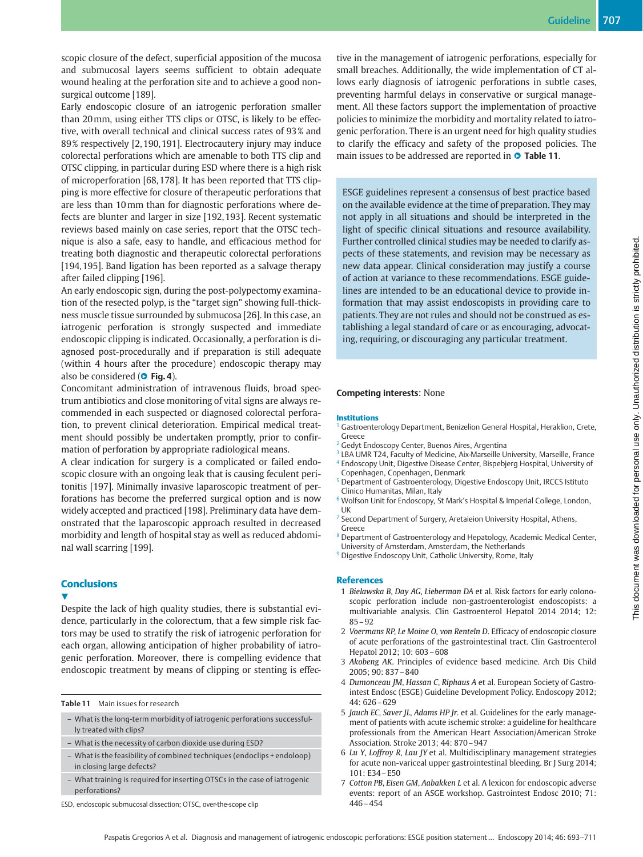scopic closure of the defect, superficial apposition of the mucosa and submucosal layers seems sufficient to obtain adequate wound healing at the perforation site and to achieve a good nonsurgical outcome [189].

Early endoscopic closure of an iatrogenic perforation smaller than 20mm, using either TTS clips or OTSC, is likely to be effective, with overall technical and clinical success rates of 93 % and 89 % respectively [2, 190, 191]. Electrocautery injury may induce colorectal perforations which are amenable to both TTS clip and OTSC clipping, in particular during ESD where there is a high risk of microperforation [68, 178]. It has been reported that TTS clipping is more effective for closure of therapeutic perforations that are less than 10mm than for diagnostic perforations where defects are blunter and larger in size [192, 193]. Recent systematic reviews based mainly on case series, report that the OTSC technique is also a safe, easy to handle, and efficacious method for treating both diagnostic and therapeutic colorectal perforations [194, 195]. Band ligation has been reported as a salvage therapy after failed clipping [196].

An early endoscopic sign, during the post-polypectomy examination of the resected polyp, is the "target sign" showing full-thickness muscle tissue surrounded by submucosa [26]. In this case, an iatrogenic perforation is strongly suspected and immediate endoscopic clipping is indicated. Occasionally, a perforation is diagnosed post-procedurally and if preparation is still adequate (within 4 hours after the procedure) endoscopic therapy may also be considered ( $\bullet$  Fig. 4).

Concomitant administration of intravenous fluids, broad spectrum antibiotics and close monitoring of vital signs are always recommended in each suspected or diagnosed colorectal perforation, to prevent clinical deterioration. Empirical medical treatment should possibly be undertaken promptly, prior to confirmation of perforation by appropriate radiological means.

A clear indication for surgery is a complicated or failed endoscopic closure with an ongoing leak that is causing feculent peritonitis [197]. Minimally invasive laparoscopic treatment of perforations has become the preferred surgical option and is now widely accepted and practiced [198]. Preliminary data have demonstrated that the laparoscopic approach resulted in decreased morbidity and length of hospital stay as well as reduced abdominal wall scarring [199].

# **Conclusions**

V,

Despite the lack of high quality studies, there is substantial evidence, particularly in the colorectum, that a few simple risk factors may be used to stratify the risk of iatrogenic perforation for each organ, allowing anticipation of higher probability of iatrogenic perforation. Moreover, there is compelling evidence that endoscopic treatment by means of clipping or stenting is effec-

Table 11 Main issues for research

- What is the long-term morbidity of iatrogenic perforations successfully treated with clips?
- What is the necessity of carbon dioxide use during ESD?
- What is the feasibility of combined techniques (endoclips + endoloop) in closing large defects?
- What training is required for inserting OTSCs in the case of iatrogenic perforations?

ESD, endoscopic submucosal dissection; OTSC, over-the-scope clip

tive in the management of iatrogenic perforations, especially for small breaches. Additionally, the wide implementation of CT allows early diagnosis of iatrogenic perforations in subtle cases, preventing harmful delays in conservative or surgical management. All these factors support the implementation of proactive policies to minimize the morbidity and mortality related to iatrogenic perforation. There is an urgent need for high quality studies to clarify the efficacy and safety of the proposed policies. The main issues to be addressed are reported in  $\bullet$  Table 11.

ESGE guidelines represent a consensus of best practice based on the available evidence at the time of preparation. They may not apply in all situations and should be interpreted in the light of specific clinical situations and resource availability. Further controlled clinical studies may be needed to clarify aspects of these statements, and revision may be necessary as new data appear. Clinical consideration may justify a course of action at variance to these recommendations. ESGE guidelines are intended to be an educational device to provide information that may assist endoscopists in providing care to patients. They are not rules and should not be construed as establishing a legal standard of care or as encouraging, advocating, requiring, or discouraging any particular treatment.

#### Competing interests: None

#### Institutions

- <sup>1</sup> Gastroenterology Department, Benizelion General Hospital, Heraklion, Crete, Greece
- <sup>2</sup> Gedyt Endoscopy Center, Buenos Aires, Argentina
- <sup>3</sup> LBA UMR T24, Faculty of Medicine, Aix-Marseille University, Marseille, France <sup>4</sup> Endoscopy Unit, Digestive Disease Center, Bispebjerg Hospital, University of Copenhagen, Copenhagen, Denmark
- <sup>5</sup> Department of Gastroenterology, Digestive Endoscopy Unit, IRCCS Istituto Clinico Humanitas, Milan, Italy
- <sup>6</sup> Wolfson Unit for Endoscopy, St Mark's Hospital & Imperial College, London, UK
- <sup>7</sup> Second Department of Surgery, Aretaieion University Hospital, Athens, Greece
- <sup>8</sup> Department of Gastroenterology and Hepatology, Academic Medical Center, University of Amsterdam, Amsterdam, the Netherlands
- <sup>9</sup> Digestive Endoscopy Unit, Catholic University, Rome, Italy

#### **References**

- 1 Bielawska B, Day AG, Lieberman DA et al. Risk factors for early colonoscopic perforation include non-gastroenterologist endoscopists: a multivariable analysis. Clin Gastroenterol Hepatol 2014 2014; 12: 85–92
- 2 Voermans RP, Le Moine O, von Renteln D. Efficacy of endoscopic closure of acute perforations of the gastrointestinal tract. Clin Gastroenterol Hepatol 2012; 10: 603–608
- 3 Akobeng AK. Principles of evidence based medicine. Arch Dis Child 2005; 90: 837–840
- 4 Dumonceau JM, Hassan C, Riphaus A et al. European Society of Gastrointest Endosc (ESGE) Guideline Development Policy. Endoscopy 2012; 44: 626–629
- 5 Jauch EC, Saver JL, Adams HP Jr. et al. Guidelines for the early management of patients with acute ischemic stroke: a guideline for healthcare professionals from the American Heart Association/American Stroke Association. Stroke 2013; 44: 870–947
- 6 Lu Y, Loffroy R, Lau JY et al. Multidisciplinary management strategies for acute non-variceal upper gastrointestinal bleeding. Br J Surg 2014; 101: E34–E50
- 7 Cotton PB, Eisen GM, Aabakken L et al. A lexicon for endoscopic adverse events: report of an ASGE workshop. Gastrointest Endosc 2010; 71: 446–454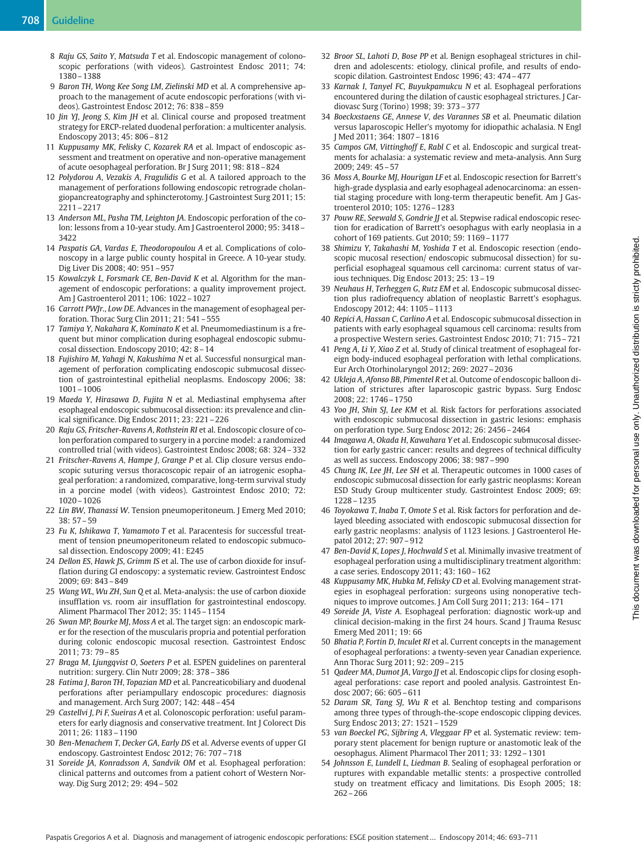- 8 Raju GS, Saito Y, Matsuda T et al. Endoscopic management of colonoscopic perforations (with videos). Gastrointest Endosc 2011; 74: 1380–1388
- 9 Baron TH, Wong Kee Song LM, Zielinski MD et al. A comprehensive approach to the management of acute endoscopic perforations (with videos). Gastrointest Endosc 2012; 76: 838–859
- 10 Jin YJ, Jeong S, Kim JH et al. Clinical course and proposed treatment strategy for ERCP-related duodenal perforation: a multicenter analysis. Endoscopy 2013; 45: 806–812
- 11 Kuppusamy MK, Felisky C, Kozarek RA et al. Impact of endoscopic assessment and treatment on operative and non-operative management of acute oesophageal perforation. Br J Surg 2011; 98: 818–824
- 12 Polydorou A, Vezakis A, Fragulidis G et al. A tailored approach to the management of perforations following endoscopic retrograde cholangiopancreatography and sphincterotomy. J Gastrointest Surg 2011; 15: 2211–2217
- 13 Anderson ML, Pasha TM, Leighton JA. Endoscopic perforation of the colon: lessons from a 10-year study. Am J Gastroenterol 2000; 95: 3418 -3422
- 14 Paspatis GA, Vardas E, Theodoropoulou A et al. Complications of colonoscopy in a large public county hospital in Greece. A 10-year study. Dig Liver Dis 2008; 40: 951–957
- 15 Kowalczyk L, Forsmark CE, Ben-David K et al. Algorithm for the management of endoscopic perforations: a quality improvement project. Am J Gastroenterol 2011; 106: 1022–1027
- 16 Carrott PWJr., Low DE. Advances in the management of esophageal perforation. Thorac Surg Clin 2011; 21: 541–555
- 17 Tamiya Y, Nakahara K, Kominato K et al. Pneumomediastinum is a frequent but minor complication during esophageal endoscopic submucosal dissection. Endoscopy 2010; 42: 8–14
- 18 Fujishiro M, Yahagi N, Kakushima N et al. Successful nonsurgical management of perforation complicating endoscopic submucosal dissection of gastrointestinal epithelial neoplasms. Endoscopy 2006; 38: 1001–1006
- 19 Maeda Y, Hirasawa D, Fujita N et al. Mediastinal emphysema after esophageal endoscopic submucosal dissection: its prevalence and clinical significance. Dig Endosc 2011; 23: 221–226
- 20 Raju GS, Fritscher-Ravens A, Rothstein RI et al. Endoscopic closure of colon perforation compared to surgery in a porcine model: a randomized controlled trial (with videos). Gastrointest Endosc 2008; 68: 324–332
- 21 Fritscher-Ravens A, Hampe J, Grange P et al. Clip closure versus endoscopic suturing versus thoracoscopic repair of an iatrogenic esophageal perforation: a randomized, comparative, long-term survival study in a porcine model (with videos). Gastrointest Endosc 2010; 72: 1020–1026
- 22 Lin BW, Thanassi W. Tension pneumoperitoneum. J Emerg Med 2010; 38: 57–59
- 23 Fu K, Ishikawa T, Yamamoto T et al. Paracentesis for successful treatment of tension pneumoperitoneum related to endoscopic submucosal dissection. Endoscopy 2009; 41: E245
- 24 Dellon ES, Hawk JS, Grimm IS et al. The use of carbon dioxide for insufflation during GI endoscopy: a systematic review. Gastrointest Endosc 2009; 69: 843–849
- 25 Wang WL, Wu ZH, Sun Q et al. Meta-analysis: the use of carbon dioxide insufflation vs. room air insufflation for gastrointestinal endoscopy. Aliment Pharmacol Ther 2012; 35: 1145–1154
- 26 Swan MP, Bourke MJ, Moss A et al. The target sign: an endoscopic marker for the resection of the muscularis propria and potential perforation during colonic endoscopic mucosal resection. Gastrointest Endosc 2011; 73: 79–85
- 27 Braga M, Ljungqvist O, Soeters P et al. ESPEN guidelines on parenteral nutrition: surgery. Clin Nutr 2009; 28: 378–386
- 28 Fatima J, Baron TH, Topazian MD et al. Pancreaticobiliary and duodenal perforations after periampullary endoscopic procedures: diagnosis and management. Arch Surg 2007; 142: 448–454
- 29 Castellvi J, Pi F, Sueiras A et al. Colonoscopic perforation: useful parameters for early diagnosis and conservative treatment. Int J Colorect Dis 2011; 26: 1183–1190
- 30 Ben-Menachem T, Decker GA, Early DS et al. Adverse events of upper GI endoscopy. Gastrointest Endosc 2012; 76: 707–718
- 31 Soreide JA, Konradsson A, Sandvik OM et al. Esophageal perforation: clinical patterns and outcomes from a patient cohort of Western Norway. Dig Surg 2012; 29: 494–502
- 32 Broor SL, Lahoti D, Bose PP et al. Benign esophageal strictures in children and adolescents: etiology, clinical profile, and results of endoscopic dilation. Gastrointest Endosc 1996; 43: 474–477
- 33 Karnak I, Tanyel FC, Buyukpamukcu N et al. Esophageal perforations encountered during the dilation of caustic esophageal strictures. J Cardiovasc Surg (Torino) 1998; 39: 373–377
- 34 Boeckxstaens GE, Annese V, des Varannes SB et al. Pneumatic dilation versus laparoscopic Heller's myotomy for idiopathic achalasia. N Engl J Med 2011; 364: 1807–1816
- 35 Campos GM, Vittinghoff E, Rabl C et al. Endoscopic and surgical treatments for achalasia: a systematic review and meta-analysis. Ann Surg 2009; 249: 45–57
- 36 Moss A, Bourke MJ, Hourigan LF et al. Endoscopic resection for Barrett's high-grade dysplasia and early esophageal adenocarcinoma: an essential staging procedure with long-term therapeutic benefit. Am J Gastroenterol 2010; 105: 1276–1283
- 37 Pouw RE, Seewald S, Gondrie JJ et al. Stepwise radical endoscopic resection for eradication of Barrett's oesophagus with early neoplasia in a cohort of 169 patients. Gut 2010; 59: 1169–1177
- 38 Shimizu Y, Takahashi M, Yoshida T et al. Endoscopic resection (endoscopic mucosal resection/ endoscopic submucosal dissection) for superficial esophageal squamous cell carcinoma: current status of various techniques. Dig Endosc 2013; 25: 13–19
- 39 Neuhaus H, Terheggen G, Rutz EM et al. Endoscopic submucosal dissection plus radiofrequency ablation of neoplastic Barrett's esophagus. Endoscopy 2012; 44: 1105–1113
- 40 Repici A, Hassan C, Carlino A et al. Endoscopic submucosal dissection in patients with early esophageal squamous cell carcinoma: results from a prospective Western series. Gastrointest Endosc 2010; 71: 715–721
- 41 Peng A, Li Y, Xiao Z et al. Study of clinical treatment of esophageal foreign body-induced esophageal perforation with lethal complications. Eur Arch Otorhinolaryngol 2012; 269: 2027–2036
- 42 Ukleja A, Afonso BB, Pimentel R et al. Outcome of endoscopic balloon dilation of strictures after laparoscopic gastric bypass. Surg Endosc 2008; 22: 1746–1750
- 43 Yoo JH, Shin SJ, Lee KM et al. Risk factors for perforations associated with endoscopic submucosal dissection in gastric lesions: emphasis on perforation type. Surg Endosc 2012; 26: 2456–2464
- 44 Imagawa A, Okada H, Kawahara Y et al. Endoscopic submucosal dissection for early gastric cancer: results and degrees of technical difficulty as well as success. Endoscopy 2006; 38: 987–990
- 45 Chung IK, Lee JH, Lee SH et al. Therapeutic outcomes in 1000 cases of endoscopic submucosal dissection for early gastric neoplasms: Korean ESD Study Group multicenter study. Gastrointest Endosc 2009; 69: 1228–1235
- 46 Toyokawa T, Inaba T, Omote S et al. Risk factors for perforation and delayed bleeding associated with endoscopic submucosal dissection for early gastric neoplasms: analysis of 1123 lesions. J Gastroenterol Hepatol 2012; 27: 907–912
- 47 Ben-David K, Lopes J, Hochwald S et al. Minimally invasive treatment of esophageal perforation using a multidisciplinary treatment algorithm: a case series. Endoscopy 2011; 43: 160–162
- 48 Kuppusamy MK, Hubka M, Felisky CD et al. Evolving management strategies in esophageal perforation: surgeons using nonoperative techniques to improve outcomes. J Am Coll Surg 2011; 213: 164–171
- 49 Soreide JA, Viste A. Esophageal perforation: diagnostic work-up and clinical decision-making in the first 24 hours. Scand J Trauma Resusc Emerg Med 2011; 19: 66
- 50 Bhatia P, Fortin D, Inculet RI et al. Current concepts in the management of esophageal perforations: a twenty-seven year Canadian experience. Ann Thorac Surg 2011; 92: 209–215
- 51 Qadeer MA, Dumot JA, Vargo JJ et al. Endoscopic clips for closing esophageal perforations: case report and pooled analysis. Gastrointest Endosc 2007; 66: 605–611
- 52 Daram SR, Tang SJ, Wu R et al. Benchtop testing and comparisons among three types of through-the-scope endoscopic clipping devices. Surg Endosc 2013; 27: 1521–1529
- 53 van Boeckel PG, Sijbring A, Vleggaar FP et al. Systematic review: temporary stent placement for benign rupture or anastomotic leak of the oesophagus. Aliment Pharmacol Ther 2011; 33: 1292–1301
- 54 Johnsson E, Lundell L, Liedman B. Sealing of esophageal perforation or ruptures with expandable metallic stents: a prospective controlled study on treatment efficacy and limitations. Dis Esoph 2005; 18: 262–266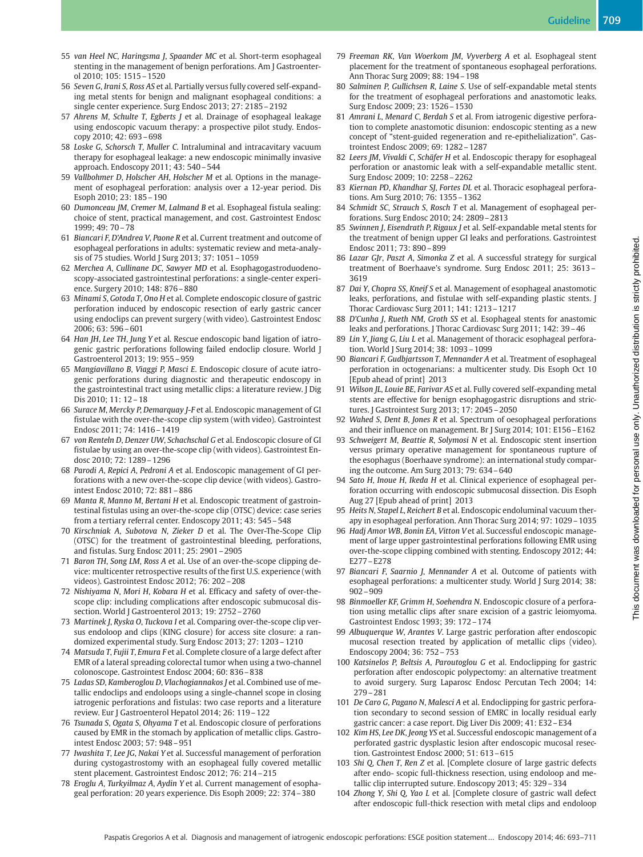- 55 van Heel NC, Haringsma J, Spaander MC et al. Short-term esophageal stenting in the management of benign perforations. Am J Gastroenterol 2010; 105: 1515–1520
- 56 Seven G, Irani S, Ross AS et al. Partially versus fully covered self-expanding metal stents for benign and malignant esophageal conditions: a single center experience. Surg Endosc 2013; 27: 2185–2192
- 57 Ahrens M, Schulte T, Egberts J et al. Drainage of esophageal leakage using endoscopic vacuum therapy: a prospective pilot study. Endoscopy 2010; 42: 693–698
- 58 Loske G, Schorsch T, Muller C. Intraluminal and intracavitary vacuum therapy for esophageal leakage: a new endoscopic minimally invasive approach. Endoscopy 2011; 43: 540–544
- 59 Vallbohmer D, Holscher AH, Holscher M et al. Options in the management of esophageal perforation: analysis over a 12-year period. Dis Esoph 2010; 23: 185–190
- 60 Dumonceau JM, Cremer M, Lalmand B et al. Esophageal fistula sealing: choice of stent, practical management, and cost. Gastrointest Endosc 1999; 49: 70–78
- 61 Biancari F, D'Andrea V, Paone R et al. Current treatment and outcome of esophageal perforations in adults: systematic review and meta-analysis of 75 studies. World J Surg 2013; 37: 1051–1059
- 62 Merchea A, Cullinane DC, Sawyer MD et al. Esophagogastroduodenoscopy-associated gastrointestinal perforations: a single-center experience. Surgery 2010; 148: 876–880
- 63 Minami S, Gotoda T, Ono H et al. Complete endoscopic closure of gastric perforation induced by endoscopic resection of early gastric cancer using endoclips can prevent surgery (with video). Gastrointest Endosc 2006; 63: 596–601
- 64 Han JH, Lee TH, Jung Y et al. Rescue endoscopic band ligation of iatrogenic gastric perforations following failed endoclip closure. World J Gastroenterol 2013; 19: 955–959
- 65 Mangiavillano B, Viaggi P, Masci E. Endoscopic closure of acute iatrogenic perforations during diagnostic and therapeutic endoscopy in the gastrointestinal tract using metallic clips: a literature review. J Dig Dis 2010; 11: 12–18
- 66 Surace M, Mercky P, Demarquay J-F et al. Endoscopic management of GI fistulae with the over-the-scope clip system (with video). Gastrointest Endosc 2011; 74: 1416–1419
- 67 von Renteln D, Denzer UW, Schachschal G et al. Endoscopic closure of GI fistulae by using an over-the-scope clip (with videos). Gastrointest Endosc 2010; 72: 1289–1296
- 68 Parodi A, Repici A, Pedroni A et al. Endoscopic management of GI perforations with a new over-the-scope clip device (with videos). Gastrointest Endosc 2010; 72: 881–886
- 69 Manta R, Manno M, Bertani H et al. Endoscopic treatment of gastrointestinal fistulas using an over-the-scope clip (OTSC) device: case series from a tertiary referral center. Endoscopy 2011; 43: 545–548
- 70 Kirschniak A, Subotova N, Zieker D et al. The Over-The-Scope Clip (OTSC) for the treatment of gastrointestinal bleeding, perforations, and fistulas. Surg Endosc 2011; 25: 2901–2905
- 71 Baron TH, Song LM, Ross A et al. Use of an over-the-scope clipping device: multicenter retrospective results of the first U.S. experience (with videos). Gastrointest Endosc 2012; 76: 202–208
- 72 Nishiyama N, Mori H, Kobara H et al. Efficacy and safety of over-thescope clip: including complications after endoscopic submucosal dissection. World J Gastroenterol 2013; 19: 2752 - 2760
- 73 Martinek J, Ryska O, Tuckova I et al. Comparing over-the-scope clip versus endoloop and clips (KING closure) for access site closure: a randomized experimental study. Surg Endosc 2013; 27: 1203–1210
- 74 Matsuda T, Fujii T, Emura F et al. Complete closure of a large defect after EMR of a lateral spreading colorectal tumor when using a two-channel colonoscope. Gastrointest Endosc 2004; 60: 836–838
- 75 Ladas SD, Kamberoglou D, Vlachogiannakos J et al. Combined use of metallic endoclips and endoloops using a single-channel scope in closing iatrogenic perforations and fistulas: two case reports and a literature review. Eur J Gastroenterol Hepatol 2014; 26: 119–122
- 76 Tsunada S, Ogata S, Ohyama T et al. Endoscopic closure of perforations caused by EMR in the stomach by application of metallic clips. Gastrointest Endosc 2003; 57: 948–951
- 77 Iwashita T, Lee JG, Nakai Y et al. Successful management of perforation during cystogastrostomy with an esophageal fully covered metallic stent placement. Gastrointest Endosc 2012; 76: 214–215
- 78 Eroglu A, Turkyilmaz A, Aydin Y et al. Current management of esophageal perforation: 20 years experience. Dis Esoph 2009; 22: 374–380
- 79 Freeman RK, Van Woerkom JM, Vyverberg A et al. Esophageal stent placement for the treatment of spontaneous esophageal perforations. Ann Thorac Surg 2009; 88: 194–198
- 80 Salminen P, Gullichsen R, Laine S. Use of self-expandable metal stents for the treatment of esophageal perforations and anastomotic leaks. Surg Endosc 2009; 23: 1526–1530
- 81 Amrani L, Menard C, Berdah S et al. From iatrogenic digestive perforation to complete anastomotic disunion: endoscopic stenting as a new concept of "stent-guided regeneration and re-epithelialization". Gastrointest Endosc 2009; 69: 1282–1287
- 82 Leers JM, Vivaldi C, Schäfer H et al. Endoscopic therapy for esophageal perforation or anastomic leak with a self-expandable metallic stent. Surg Endosc 2009; 10: 2258–2262
- 83 Kiernan PD, Khandhar SJ, Fortes DL et al. Thoracic esophageal perforations. Am Surg 2010; 76: 1355–1362
- 84 Schmidt SC, Strauch S, Rosch T et al. Management of esophageal perforations. Surg Endosc 2010; 24: 2809–2813
- 85 Swinnen J, Eisendrath P, Rigaux J et al. Self-expandable metal stents for the treatment of benign upper GI leaks and perforations. Gastrointest Endosc 2011; 73: 890–899
- 86 Lazar GJr, Paszt A, Simonka Z et al. A successful strategy for surgical treatment of Boerhaave's syndrome. Surg Endosc 2011; 25: 3613– 3619
- 87 Dai Y, Chopra SS, Kneif S et al. Management of esophageal anastomotic leaks, perforations, and fistulae with self-expanding plastic stents. J Thorac Cardiovasc Surg 2011; 141: 1213–1217
- 88 D'Cunha J, Rueth NM, Groth SS et al. Esophageal stents for anastomic leaks and perforations. J Thorac Cardiovasc Surg 2011; 142: 39–46
- 89 Lin Y, Jiang G, Liu L et al. Management of thoracic esophageal perforation. World J Surg 2014; 38: 1093–1099
- 90 Biancari F, Gudbjartsson T, Mennander A et al. Treatment of esophageal perforation in octogenarians: a multicenter study. Dis Esoph Oct 10 [Epub ahead of print] 2013
- 91 Wilson JL, Louie BE, Farivar AS et al. Fully covered self-expanding metal stents are effective for benign esophagogastric disruptions and strictures. J Gastrointest Surg 2013; 17: 2045–2050
- 92 Wahed S, Dent B, Jones R et al. Spectrum of oesophageal perforations and their influence on management. Br J Surg 2014; 101: E156–E162
- 93 Schweigert M, Beattie R, Solymosi N et al. Endoscopic stent insertion versus primary operative management for spontaneous rupture of the esophagus (Boerhaave syndrome): an international study comparing the outcome. Am Surg 2013; 79: 634–640
- 94 Sato H, Inoue H, Ikeda H et al. Clinical experience of esophageal perforation occurring with endoscopic submucosal dissection. Dis Esoph Aug 27 [Epub ahead of print] 2013
- 95 Heits N, Stapel L, Reichert B et al. Endoscopic endoluminal vacuum therapy in esophageal perforation. Ann Thorac Surg 2014; 97: 1029–1035
- 96 Hadj Amor WB, Bonin EA, Vitton V et al. Successful endoscopic management of large upper gastrointestinal perforations following EMR using over-the-scope clipping combined with stenting. Endoscopy 2012; 44: E277–E278
- 97 Biancari F, Saarnio J, Mennander A et al. Outcome of patients with esophageal perforations: a multicenter study. World J Surg 2014; 38: 902–909
- 98 Binmoeller KF, Grimm H, Soehendra N. Endoscopic closure of a perforation using metallic clips after snare excision of a gastric leiomyoma. Gastrointest Endosc 1993; 39: 172–174
- 99 Albuquerque W, Arantes V. Large gastric perforation after endoscopic mucosal resection treated by application of metallic clips (video). Endoscopy 2004; 36: 752–753
- 100 Katsinelos P, Beltsis A, Paroutoglou G et al. Endoclipping for gastric perforation after endoscopic polypectomy: an alternative treatment to avoid surgery. Surg Laparosc Endosc Percutan Tech 2004; 14: 279–281
- 101 De Caro G, Pagano N, Malesci A et al. Endoclipping for gastric perforation secondary to second session of EMRC in locally residual early gastric cancer: a case report. Dig Liver Dis 2009; 41: E32–E34
- 102 Kim HS, Lee DK, Jeong YS et al. Successful endoscopic management of a perforated gastric dysplastic lesion after endoscopic mucosal resection. Gastrointest Endosc 2000; 51: 613–615
- 103 Shi Q, Chen T, Ren Z et al. [Complete closure of large gastric defects after endo- scopic full-thickness resection, using endoloop and metallic clip interrupted suture. Endoscopy 2013; 45: 329–334
- 104 Zhong Y, Shi Q, Yao L et al. [Complete closure of gastric wall defect after endoscopic full-thick resection with metal clips and endoloop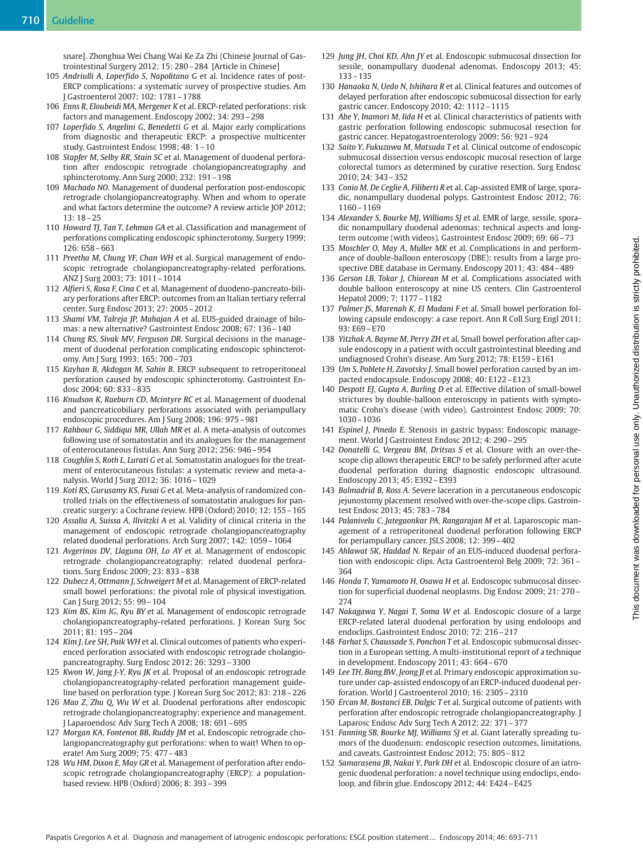snare]. Zhonghua Wei Chang Wai Ke Za Zhi (Chinese Journal of Gastrointestinal Surgery 2012; 15: 280–284 [Article in Chinese]

- 105 Andriulli A, Loperfido S, Napolitano G et al. Incidence rates of post-ERCP complications: a systematic survey of prospective studies. Am J Gastroenterol 2007; 102: 1781–1788
- 106 Enns R, Eloubeidi MA, Mergener K et al. ERCP-related perforations: risk factors and management. Endoscopy 2002; 34: 293–298
- 107 Loperfido S, Angelini G, Benedetti G et al. Major early complications from diagnostic and therapeutic ERCP: a prospective multicenter study. Gastrointest Endosc 1998; 48: 1–10
- 108 Stapfer M, Selby RR, Stain SC et al. Management of duodenal perforation after endoscopic retrograde cholangiopancreatography and sphincterotomy. Ann Surg 2000; 232: 191–198
- 109 Machado NO. Management of duodenal perforation post-endoscopic retrograde cholangiopancreatography. When and whom to operate and what factors determine the outcome? A review article JOP 2012; 13: 18–25
- 110 Howard TJ, Tan T, Lehman GA et al. Classification and management of perforations complicating endoscopic sphincterotomy. Surgery 1999; 126: 658–663
- 111 Preetha M, Chung YF, Chan WH et al. Surgical management of endoscopic retrograde cholangiopancreatography-related perforations. ANZ J Surg 2003; 73: 1011–1014
- 112 Alfieri S, Rosa F, Cina C et al. Management of duodeno-pancreato-biliary perforations after ERCP: outcomes from an Italian tertiary referral center. Surg Endosc 2013; 27: 2005–2012
- 113 Shami VM, Talreja JP, Mahajan A et al. EUS-guided drainage of bilomas: a new alternative? Gastrointest Endosc 2008; 67: 136–140
- 114 Chung RS, Sivak MV, Ferguson DR. Surgical decisions in the management of duodenal perforation complicating endoscopic sphincterotomy. Am J Surg 1993; 165: 700–703
- 115 Kayhan B, Akdogan M, Sahin B. ERCP subsequent to retroperitoneal perforation caused by endoscopic sphincterotomy. Gastrointest Endosc 2004; 60: 833–835
- 116 Knudson K, Raeburn CD, Mcintyre RC et al. Management of duodenal and pancreaticobiliary perforations associated with periampullary endoscopic procedures. Am J Surg 2008; 196: 975–981
- 117 Rahbour G, Siddiqui MR, Ullah MR et al. A meta-analysis of outcomes following use of somatostatin and its analogues for the management of enterocutaneous fistulas. Ann Surg 2012; 256: 946–954
- 118 Coughlin S, Roth L, Lurati G et al. Somatostatin analogues for the treatment of enterocutaneous fistulas: a systematic review and meta-analysis. World J Surg 2012; 36: 1016–1029
- 119 Koti RS, Gurusamy KS, Fusai G et al. Meta-analysis of randomized controlled trials on the effectiveness of somatostatin analogues for pancreatic surgery: a Cochrane review. HPB (Oxford) 2010; 12: 155–165
- 120 Assalia A, Suissa A, Ilivitzki A et al. Validity of clinical criteria in the management of endoscopic retrograde cholangiopancreatography related duodenal perforations. Arch Surg 2007; 142: 1059–1064
- 121 Avgerinos DV, Llaguna OH, Lo AY et al. Management of endoscopic retrograde cholangiopancreatography: related duodenal perforations. Surg Endosc 2009; 23: 833–838
- 122 Dubecz A, Ottmann J, Schweigert M et al. Management of ERCP-related small bowel perforations: the pivotal role of physical investigation. Can J Surg 2012; 55: 99–104
- 123 Kim BS, Kim IG, Ryu BY et al. Management of endoscopic retrograde cholangiopancreatography-related perforations. J Korean Surg Soc 2011; 81: 195–204
- 124 Kim J, Lee SH, Paik WH et al. Clinical outcomes of patients who experienced perforation associated with endoscopic retrograde cholangiopancreatography. Surg Endosc 2012; 26: 3293–3300
- 125 Kwon W, Jang J-Y, Ryu JK et al. Proposal of an endoscopic retrograde cholangiopancreatography-related perforation management guideline based on perforation type. J Korean Surg Soc 2012; 83: 218–226
- 126 Mao Z, Zhu Q, Wu W et al. Duodenal perforations after endoscopic retrograde cholangiopancreatography: experience and management. J Laparoendosc Adv Surg Tech A 2008; 18: 691–695
- 127 Morgan KA, Fontenot BB, Ruddy JM et al. Endoscopic retrograde cholangiopancreatography gut perforations: when to wait! When to operate! Am Surg 2009; 75: 477–483
- 128 Wu HM, Dixon E, May GR et al. Management of perforation after endoscopic retrograde cholangiopancreatography (ERCP): a populationbased review. HPB (Oxford) 2006; 8: 393–399
- 129 Jung JH, Choi KD, Ahn JY et al. Endoscopic submucosal dissection for sessile, nonampullary duodenal adenomas. Endoscopy 2013; 45: 133–135
- 130 Hanaoka N, Uedo N, Ishihara R et al. Clinical features and outcomes of delayed perforation after endoscopic submucosal dissection for early gastric cancer. Endoscopy 2010; 42: 1112–1115
- 131 Abe Y, Inamori M, Iida H et al. Clinical characteristics of patients with gastric perforation following endoscopic submucosal resection for gastric cancer. Hepatogastroenterology 2009; 56: 921–924
- 132 Saito Y, Fukuzawa M, Matsuda T et al. Clinical outcome of endoscopic submucosal dissection versus endoscopic mucosal resection of large colorectal tumors as determined by curative resection. Surg Endosc 2010; 24: 343–352
- 133 Conio M, De Ceglie A, Filiberti R et al. Cap-assisted EMR of large, sporadic, nonampullary duodenal polyps. Gastrointest Endosc 2012; 76: 1160–1169
- 134 Alexander S, Bourke MJ, Williams SJ et al. EMR of large, sessile, sporadic nonampullary duodenal adenomas: technical aspects and longterm outcome (with videos). Gastrointest Endosc 2009; 69: 66–73
- 135 Moschler O, May A, Muller MK et al. Complications in and performance of double-balloon enteroscopy (DBE): results from a large prospective DBE database in Germany. Endoscopy 2011; 43: 484–489
- 136 Gerson LB, Tokar J, Chiorean M et al. Complications associated with double balloon enteroscopy at nine US centers. Clin Gastroenterol Hepatol 2009; 7: 1177–1182
- 137 Palmer JS, Marenah K, El Madani F et al. Small bowel perforation following capsule endoscopy: a case report. Ann R Coll Surg Engl 2011; 93: E69–E70
- 138 Yitzhak A, Bayme M, Perry ZH et al. Small bowel perforation after capsule endoscopy in a patient with occult gastrointestinal bleeding and undiagnosed Crohn's disease. Am Surg 2012; 78: E159–E161
- 139 Um S, Poblete H, Zavotsky J. Small bowel perforation caused by an impacted endocapsule. Endoscopy 2008; 40: E122–E123
- 140 Despott EJ, Gupta A, Burling D et al. Effective dilation of small-bowel strictures by double-balloon enteroscopy in patients with symptomatic Crohn's disease (with video). Gastrointest Endosc 2009; 70: 1030–1036
- 141 Espinel J, Pinedo E. Stenosis in gastric bypass: Endoscopic management. World J Gastrointest Endosc 2012; 4: 290–295
- 142 Donatelli G, Vergeau BM, Dritsas S et al. Closure with an over-thescope clip allows therapeutic ERCP to be safely performed after acute duodenal perforation during diagnostic endoscopic ultrasound. Endoscopy 2013; 45: E392–E393
- 143 Balmadrid B, Ross A. Severe laceration in a percutaneous endoscopic jejunostomy placement resolved with over-the-scope clips. Gastrointest Endosc 2013; 45: 783–784
- 144 Palanivelu C, Jategaonkar PA, Rangarajan M et al. Laparoscopic management of a retroperitoneal duodenal perforation following ERCP for periampullary cancer. JSLS 2008; 12: 399–402
- 145 Ahlawat SK, Haddad N. Repair of an EUS-induced duodenal perforation with endoscopic clips. Acta Gastroenterol Belg 2009; 72: 361– 364
- 146 Honda T, Yamamoto H, Osawa H et al. Endoscopic submucosal dissection for superficial duodenal neoplasms. Dig Endosc 2009; 21: 270– 274
- 147 Nakagawa Y, Nagai T, Soma W et al. Endoscopic closure of a large ERCP-related lateral duodenal perforation by using endoloops and endoclips. Gastrointest Endosc 2010; 72: 216–217
- 148 Farhat S, Chaussade S, Ponchon T et al. Endoscopic submucosal dissection in a European setting. A multi-institutional report of a technique in development. Endoscopy 2011; 43: 664–670
- 149 Lee TH, Bang BW, Jeong JI et al. Primary endoscopic approximation suture under cap-assisted endoscopy of an ERCP-induced duodenal perforation. World J Gastroenterol 2010; 16: 2305–2310
- 150 Ercan M, Bostanci EB, Dalgic T et al. Surgical outcome of patients with perforation after endoscopic retrograde cholangiopancreatography. J Laparosc Endosc Adv Surg Tech A 2012; 22: 371–377
- 151 Fanning SB, Bourke MJ, Williams SJ et al. Giant laterally spreading tumors of the duodenum: endoscopic resection outcomes, limitations, and caveats. Gastrointest Endosc 2012; 75: 805–812
- 152 Samarasena JB, Nakai Y, Park DH et al. Endoscopic closure of an iatrogenic duodenal perforation: a novel technique using endoclips, endoloop, and fibrin glue. Endoscopy 2012; 44: E424–E425